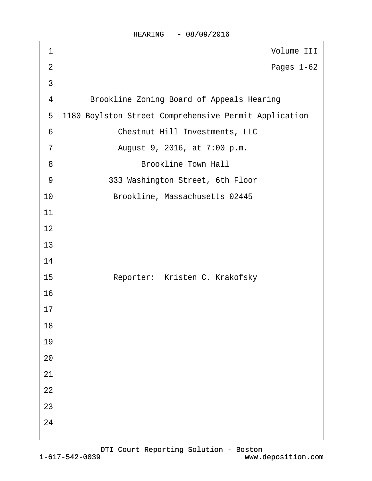HEARING - 08/09/2016

| 1               | Volume III                                            |
|-----------------|-------------------------------------------------------|
| $\overline{2}$  | Pages 1-62                                            |
| 3               |                                                       |
| 4               | <b>Brookline Zoning Board of Appeals Hearing</b>      |
| 5               | 1180 Boylston Street Comprehensive Permit Application |
| $6\phantom{1}6$ | <b>Chestnut Hill Investments, LLC</b>                 |
| $\overline{7}$  | August 9, 2016, at 7:00 p.m.                          |
| 8               | <b>Brookline Town Hall</b>                            |
| 9               | 333 Washington Street, 6th Floor                      |
| 10              | Brookline, Massachusetts 02445                        |
| 11              |                                                       |
| 12              |                                                       |
| 13              |                                                       |
| 14              |                                                       |
| 15              | Reporter: Kristen C. Krakofsky                        |
| 16              |                                                       |
| 17              |                                                       |
| 18              |                                                       |
| 19              |                                                       |
| 20              |                                                       |
| 21              |                                                       |
| 22              |                                                       |
| 23              |                                                       |
| 24              |                                                       |
|                 |                                                       |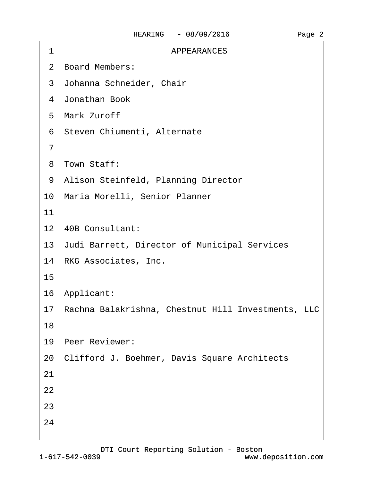| <b>APPEARANCES</b><br>1                               |
|-------------------------------------------------------|
| 2 Board Members:                                      |
| 3 Johanna Schneider, Chair                            |
| 4 Jonathan Book                                       |
| 5 Mark Zuroff                                         |
| 6 Steven Chiumenti, Alternate                         |
| $\overline{7}$                                        |
| 8 Town Staff:                                         |
| 9 Alison Steinfeld, Planning Director                 |
| 10 Maria Morelli, Senior Planner                      |
| 11                                                    |
| 12 40B Consultant:                                    |
| 13 Judi Barrett, Director of Municipal Services       |
| 14 RKG Associates, Inc.                               |
| 15                                                    |
| 16 Applicant:                                         |
| 17 Rachna Balakrishna, Chestnut Hill Investments, LLC |
| 18                                                    |
| 19 Peer Reviewer:                                     |
| 20 Clifford J. Boehmer, Davis Square Architects       |
| 21                                                    |
| 22                                                    |
| 23                                                    |
| 24                                                    |
|                                                       |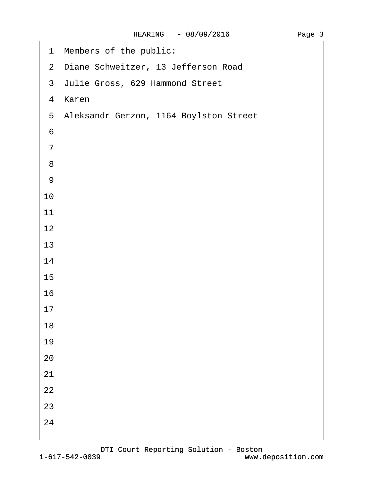| 1 Members of the public:                 |
|------------------------------------------|
| 2 Diane Schweitzer, 13 Jefferson Road    |
| 3 Julie Gross, 629 Hammond Street        |
| 4 Karen                                  |
| 5 Aleksandr Gerzon, 1164 Boylston Street |
| $6\,$                                    |
| $\overline{7}$                           |
| 8                                        |
| $9\,$                                    |
| 10                                       |
| 11                                       |
| 12                                       |
| 13                                       |
| 14                                       |
| 15                                       |
| 16                                       |
| 17                                       |
| 18                                       |
| 19                                       |
| 20                                       |
| 21                                       |
| 22                                       |
| 23                                       |
| 24                                       |
|                                          |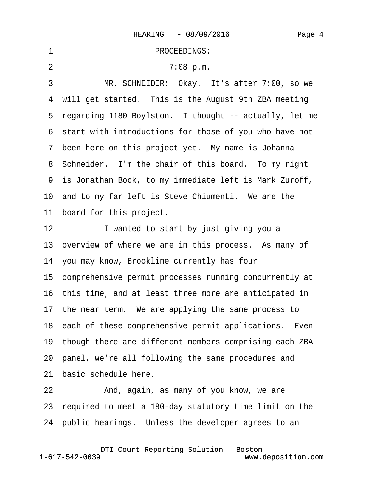| 1<br>PROCEEDINGS:                                         |
|-----------------------------------------------------------|
| 2<br>7:08 p.m.                                            |
| 3<br>MR. SCHNEIDER: Okay. It's after 7:00, so we          |
| 4 will get started. This is the August 9th ZBA meeting    |
| 5 regarding 1180 Boylston. I thought -- actually, let me  |
| 6 start with introductions for those of you who have not  |
| 7 been here on this project yet. My name is Johanna       |
| 8 Schneider. I'm the chair of this board. To my right     |
| 9 is Jonathan Book, to my immediate left is Mark Zuroff,  |
| 10 and to my far left is Steve Chiumenti. We are the      |
| 11 board for this project.                                |
| 12 <sub>2</sub><br>I wanted to start by just giving you a |
| 13 overview of where we are in this process. As many of   |
| 14 you may know, Brookline currently has four             |
| 15 comprehensive permit processes running concurrently at |
| 16 this time, and at least three more are anticipated in  |
| 17 the near term. We are applying the same process to     |
| 18 each of these comprehensive permit applications. Even  |
| 19 though there are different members comprising each ZBA |
| 20 panel, we're all following the same procedures and     |
| 21 basic schedule here.                                   |
| 22<br>And, again, as many of you know, we are             |
| 23 required to meet a 180-day statutory time limit on the |
| 24 public hearings. Unless the developer agrees to an     |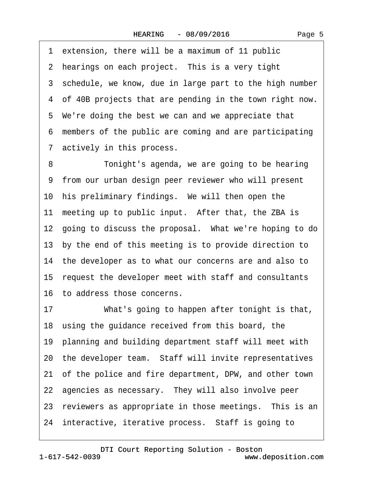1 extension, there will be a maximum of 11 public 2 hearings on each project. This is a very tight 3 schedule, we know, due in large part to the high number 4 of 40B projects that are pending in the town right now. 5 We're doing the best we can and we appreciate that ·6· members of the public are coming and are participating 7 actively in this process.

8 Tonight's agenda, we are going to be hearing ·9· from our urban design peer reviewer who will present 10 his preliminary findings. We will then open the 11 meeting up to public input. After that, the ZBA is 12 going to discuss the proposal. What we're hoping to do 13· by the end of this meeting is to provide direction to 14 the developer as to what our concerns are and also to 15· request the developer meet with staff and consultants 16· to address those concerns.

17 What's going to happen after tonight is that, 18 using the guidance received from this board, the 19· planning and building department staff will meet with 20 the developer team. Staff will invite representatives 21 of the police and fire department, DPW, and other town 22 agencies as necessary. They will also involve peer 23 reviewers as appropriate in those meetings. This is an 24 interactive, iterative process. Staff is going to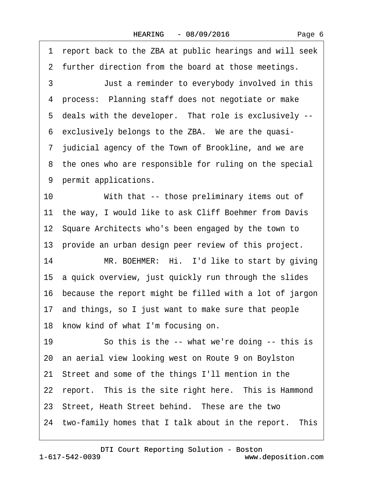·1· report back to the ZBA at public hearings and will seek 2 further direction from the board at those meetings.

3 **Just a reminder to everybody involved in this** 4 process: Planning staff does not negotiate or make 5 deals with the developer. That role is exclusively --6 exclusively belongs to the ZBA. We are the quasi-·7· judicial agency of the Town of Brookline, and we are 8 the ones who are responsible for ruling on the special 9 permit applications.

10 With that -- those preliminary items out of 11 the way, I would like to ask Cliff Boehmer from Davis 12· Square Architects who's been engaged by the town to 13 provide an urban design peer review of this project.

14 MR. BOEHMER: Hi. I'd like to start by giving 15· a quick overview, just quickly run through the slides 16· because the report might be filled with a lot of jargon 17· and things, so I just want to make sure that people 18 know kind of what I'm focusing on.

19 So this is the -- what we're doing -- this is 20· an aerial view looking west on Route 9 on Boylston 21· Street and some of the things I'll mention in the 22 report. This is the site right here. This is Hammond 23 Street, Heath Street behind. These are the two 24 two-family homes that I talk about in the report. This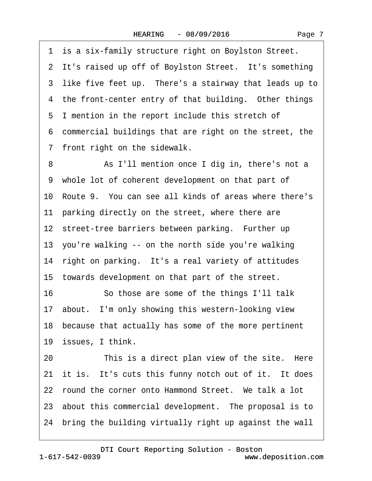1 is a six-family structure right on Boylston Street. 2 It's raised up off of Boylston Street. It's something 3 like five feet up. There's a stairway that leads up to 4 the front-center entry of that building. Other things 5 I mention in the report include this stretch of ·6· commercial buildings that are right on the street, the 7 front right on the sidewalk. 8 **8** As I'll mention once I dig in, there's not a ·9· whole lot of coherent development on that part of 10· Route 9.· You can see all kinds of areas where there's 11 parking directly on the street, where there are 12 street-tree barriers between parking. Further up 13· you're walking -- on the north side you're walking 14 right on parking. It's a real variety of attitudes 15 towards development on that part of the street. 16 So those are some of the things I'll talk 17· about.· I'm only showing this western-looking view 18 because that actually has some of the more pertinent 19 issues, I think. 20 This is a direct plan view of the site. Here 21 it is. It's cuts this funny notch out of it. It does 22 round the corner onto Hammond Street. We talk a lot 23 about this commercial development. The proposal is to 24· bring the building virtually right up against the wall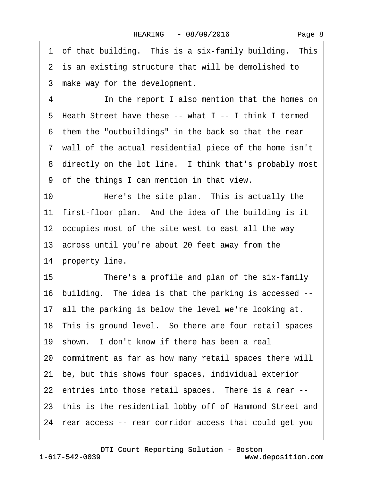Page 8

1 of that building. This is a six-family building. This 2 is an existing structure that will be demolished to 3 make way for the development. 4 **In the report I also mention that the homes on** ·5· Heath Street have these -- what I -- I think I termed ·6· them the "outbuildings" in the back so that the rear ·7· wall of the actual residential piece of the home isn't 8 directly on the lot line. I think that's probably most ·9· of the things I can mention in that view. 10 Here's the site plan. This is actually the 11 first-floor plan. And the idea of the building is it 12 occupies most of the site west to east all the way 13· across until you're about 20 feet away from the 14 property line. 15 There's a profile and plan of the six-family 16· building.· The idea is that the parking is accessed -- 17 all the parking is below the level we're looking at. 18 This is ground level. So there are four retail spaces 19 shown. I don't know if there has been a real 20· commitment as far as how many retail spaces there will 21· be, but this shows four spaces, individual exterior 22 entries into those retail spaces. There is a rear --23 this is the residential lobby off of Hammond Street and 24· rear access -- rear corridor access that could get you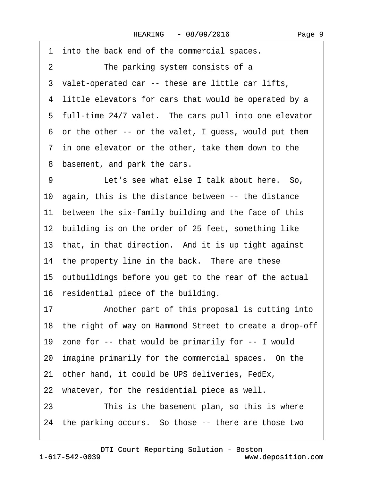·1· into the back end of the commercial spaces.

2 The parking system consists of a

3 valet-operated car -- these are little car lifts,

4 little elevators for cars that would be operated by a

5 full-time 24/7 valet. The cars pull into one elevator

·6· or the other -- or the valet, I guess, would put them

·7· in one elevator or the other, take them down to the

8 basement, and park the cars.

9 Let's see what else I talk about here. So, 10· again, this is the distance between -- the distance 11 between the six-family building and the face of this 12 building is on the order of 25 feet, something like 13 that, in that direction. And it is up tight against 14 the property line in the back. There are these 15· outbuildings before you get to the rear of the actual

16 residential piece of the building.

17 • Another part of this proposal is cutting into

18 the right of way on Hammond Street to create a drop-off

19· zone for -- that would be primarily for -- I would

20 imagine primarily for the commercial spaces. On the

21 other hand, it could be UPS deliveries, FedEx,

22 whatever, for the residential piece as well.

23 This is the basement plan, so this is where

24 the parking occurs. So those -- there are those two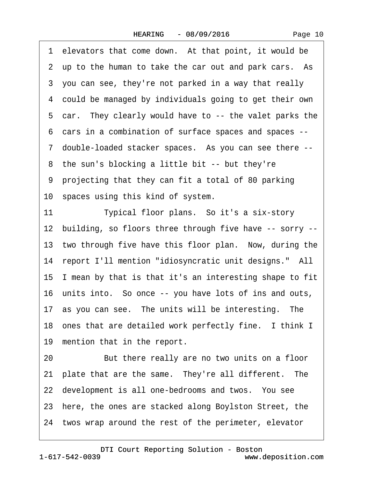| 1 elevators that come down. At that point, it would be     |  |
|------------------------------------------------------------|--|
| 2 up to the human to take the car out and park cars. As    |  |
| 3 you can see, they're not parked in a way that really     |  |
| 4 could be managed by individuals going to get their own   |  |
| 5 car. They clearly would have to -- the valet parks the   |  |
| 6 cars in a combination of surface spaces and spaces --    |  |
| 7 double-loaded stacker spaces. As you can see there --    |  |
| 8 the sun's blocking a little bit -- but they're           |  |
| 9 projecting that they can fit a total of 80 parking       |  |
| 10 spaces using this kind of system.                       |  |
| 11<br>Typical floor plans. So it's a six-story             |  |
| 12 building, so floors three through five have -- sorry -- |  |
| 13 two through five have this floor plan. Now, during the  |  |
| 14 report I'll mention "idiosyncratic unit designs." All   |  |
| 15 I mean by that is that it's an interesting shape to fit |  |
| 16 units into. So once -- you have lots of ins and outs,   |  |
| 17 as you can see. The units will be interesting. The      |  |
| 18 ones that are detailed work perfectly fine. I think I   |  |
| 19 mention that in the report.                             |  |
| 20<br>But there really are no two units on a floor         |  |
| 21 plate that are the same. They're all different. The     |  |
| 22 development is all one-bedrooms and twos. You see       |  |
| 23 here, the ones are stacked along Boylston Street, the   |  |
| 24 twos wrap around the rest of the perimeter, elevator    |  |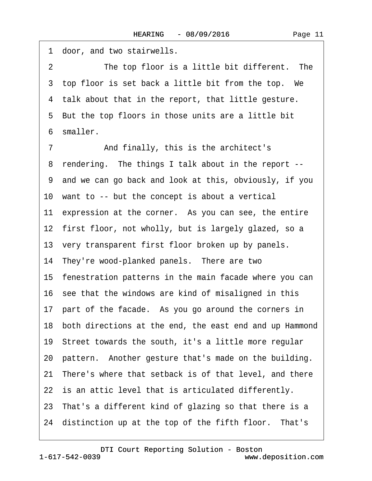1 door, and two stairwells. 2 The top floor is a little bit different. The 3 top floor is set back a little bit from the top. We 4 talk about that in the report, that little gesture. 5 But the top floors in those units are a little bit ·6· smaller. 7 **And finally, this is the architect's** 8 rendering. The things I talk about in the report --·9· and we can go back and look at this, obviously, if you 10 want to -- but the concept is about a vertical 11 expression at the corner. As you can see, the entire 12 first floor, not wholly, but is largely glazed, so a 13 very transparent first floor broken up by panels. 14 They're wood-planked panels. There are two 15· fenestration patterns in the main facade where you can 16 see that the windows are kind of misaligned in this 17 part of the facade. As you go around the corners in 18 both directions at the end, the east end and up Hammond 19· Street towards the south, it's a little more regular 20 pattern. Another gesture that's made on the building. 21 There's where that setback is of that level, and there 22 is an attic level that is articulated differently. 23 That's a different kind of glazing so that there is a 24 distinction up at the top of the fifth floor. That's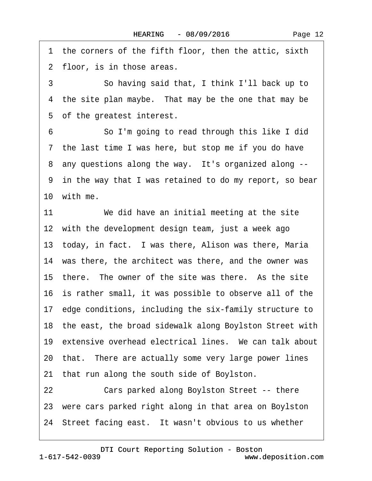1 the corners of the fifth floor, then the attic, sixth 2 floor, is in those areas.

·3· · · · · ·So having said that, I think I'll back up to 4 the site plan maybe. That may be the one that may be 5 of the greatest interest.

6 **So I'm going to read through this like I did** 7 the last time I was here, but stop me if you do have 8 any questions along the way. It's organized along --·9· in the way that I was retained to do my report, so bear 10 with me.

11 We did have an initial meeting at the site 12 with the development design team, just a week ago 13 today, in fact. I was there, Alison was there, Maria 14 was there, the architect was there, and the owner was 15 there. The owner of the site was there. As the site 16 is rather small, it was possible to observe all of the 17· edge conditions, including the six-family structure to 18· the east, the broad sidewalk along Boylston Street with 19 extensive overhead electrical lines. We can talk about 20 that. There are actually some very large power lines 21 that run along the south side of Boylston. 22 Cars parked along Boylston Street -- there 23 were cars parked right along in that area on Boylston 24 Street facing east. It wasn't obvious to us whether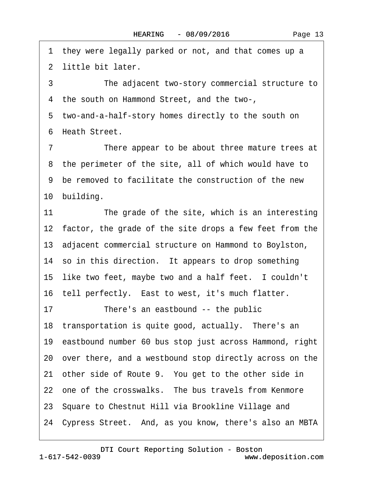1 they were legally parked or not, and that comes up a 2 little bit later.

3 The adjacent two-story commercial structure to ·4· the south on Hammond Street, and the two-, 5 two-and-a-half-story homes directly to the south on

6 Heath Street.

7 There appear to be about three mature trees at 8 the perimeter of the site, all of which would have to ·9· be removed to facilitate the construction of the new 10 building.

11 The grade of the site, which is an interesting 12 factor, the grade of the site drops a few feet from the 13· adjacent commercial structure on Hammond to Boylston, 14 so in this direction. It appears to drop something 15 like two feet, maybe two and a half feet. I couldn't 16 tell perfectly. East to west, it's much flatter. 17 There's an eastbound -- the public 18 transportation is quite good, actually. There's an 19· eastbound number 60 bus stop just across Hammond, right 20· over there, and a westbound stop directly across on the 21 other side of Route 9. You get to the other side in 22 one of the crosswalks. The bus travels from Kenmore 23· Square to Chestnut Hill via Brookline Village and 24· Cypress Street.· And, as you know, there's also an MBTA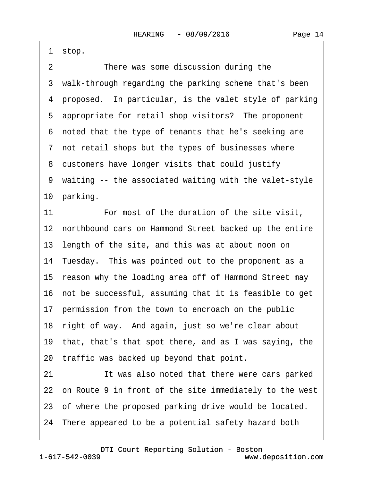Page 14

1 stop.

2 There was some discussion during the 3 walk-through regarding the parking scheme that's been 4 proposed. In particular, is the valet style of parking 5 appropriate for retail shop visitors? The proponent ·6· noted that the type of tenants that he's seeking are ·7· not retail shops but the types of businesses where 8 customers have longer visits that could justify ·9· waiting -- the associated waiting with the valet-style 10 parking. 11· · · · · ·For most of the duration of the site visit, 12 northbound cars on Hammond Street backed up the entire 13 length of the site, and this was at about noon on 14· Tuesday.· This was pointed out to the proponent as a 15 reason why the loading area off of Hammond Street may 16· not be successful, assuming that it is feasible to get 17 permission from the town to encroach on the public 18· right of way.· And again, just so we're clear about 19· that, that's that spot there, and as I was saying, the 20· traffic was backed up beyond that point. 21 It was also noted that there were cars parked 22 on Route 9 in front of the site immediately to the west 23 of where the proposed parking drive would be located. 24· There appeared to be a potential safety hazard both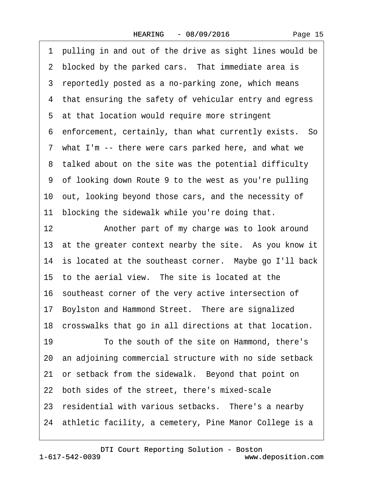·1· pulling in and out of the drive as sight lines would be 2 blocked by the parked cars. That immediate area is 3 reportedly posted as a no-parking zone, which means 4 that ensuring the safety of vehicular entry and egress 5 at that location would require more stringent 6 enforcement, certainly, than what currently exists. So ·7· what I'm -- there were cars parked here, and what we 8 talked about on the site was the potential difficulty ·9· of looking down Route 9 to the west as you're pulling 10· out, looking beyond those cars, and the necessity of 11 blocking the sidewalk while you're doing that. 12 • Another part of my charge was to look around 13 at the greater context nearby the site. As you know it 14 is located at the southeast corner. Maybe go I'll back 15 to the aerial view. The site is located at the 16 southeast corner of the very active intersection of 17 Boylston and Hammond Street. There are signalized 18 crosswalks that go in all directions at that location. 19 To the south of the site on Hammond, there's 20· an adjoining commercial structure with no side setback 21 or setback from the sidewalk. Beyond that point on 22 both sides of the street, there's mixed-scale 23 residential with various setbacks. There's a nearby 24 athletic facility, a cemetery, Pine Manor College is a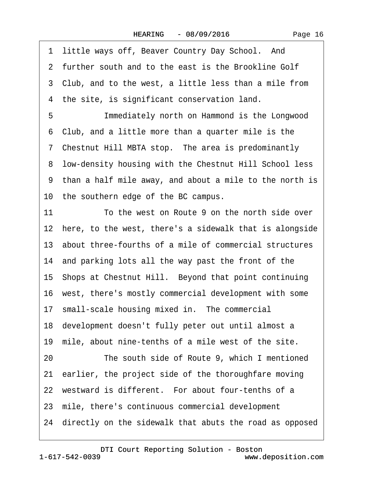1 little ways off, Beaver Country Day School. And 2 further south and to the east is the Brookline Golf 3 Club, and to the west, a little less than a mile from 4 the site, is significant conservation land. 5 **Immediately north on Hammond is the Longwood** ·6· Club, and a little more than a quarter mile is the ·7· Chestnut Hill MBTA stop.· The area is predominantly 8 low-density housing with the Chestnut Hill School less ·9· than a half mile away, and about a mile to the north is 10 the southern edge of the BC campus. 11 To the west on Route 9 on the north side over 12 here, to the west, there's a sidewalk that is alongside 13· about three-fourths of a mile of commercial structures 14 and parking lots all the way past the front of the 15 Shops at Chestnut Hill. Beyond that point continuing 16· west, there's mostly commercial development with some 17 small-scale housing mixed in. The commercial 18 development doesn't fully peter out until almost a 19 mile, about nine-tenths of a mile west of the site. 20 The south side of Route 9, which I mentioned 21· earlier, the project side of the thoroughfare moving 22 westward is different. For about four-tenths of a 23· mile, there's continuous commercial development 24· directly on the sidewalk that abuts the road as opposed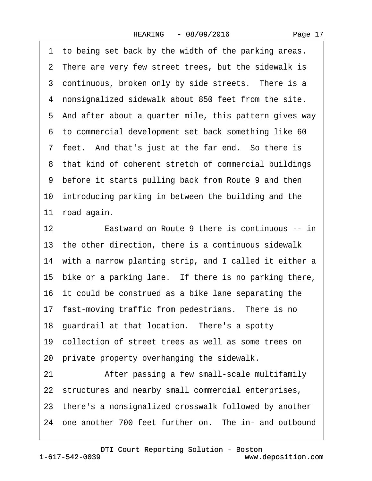1 to being set back by the width of the parking areas. 2 There are very few street trees, but the sidewalk is 3 continuous, broken only by side streets. There is a 4 nonsignalized sidewalk about 850 feet from the site. ·5· And after about a quarter mile, this pattern gives way ·6· to commercial development set back something like 60 7 feet. And that's just at the far end. So there is 8 that kind of coherent stretch of commercial buildings ·9· before it starts pulling back from Route 9 and then 10 introducing parking in between the building and the 11 road again. 12 **Eastward on Route 9 there is continuous -- in** 13· the other direction, there is a continuous sidewalk 14 with a narrow planting strip, and I called it either a 15 bike or a parking lane. If there is no parking there, 16 it could be construed as a bike lane separating the 17 fast-moving traffic from pedestrians. There is no 18 guardrail at that location. There's a spotty 19· collection of street trees as well as some trees on 20· private property overhanging the sidewalk.

21 • After passing a few small-scale multifamily 22 structures and nearby small commercial enterprises,

23· there's a nonsignalized crosswalk followed by another

24 one another 700 feet further on. The in- and outbound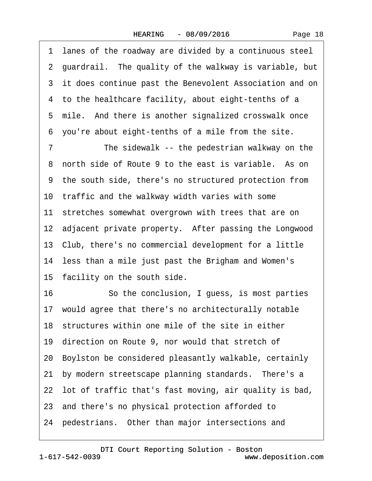·1· lanes of the roadway are divided by a continuous steel 2 guardrail. The quality of the walkway is variable, but 3 it does continue past the Benevolent Association and on 4 to the healthcare facility, about eight-tenths of a 5 mile. And there is another signalized crosswalk once ·6· you're about eight-tenths of a mile from the site. 7 The sidewalk -- the pedestrian walkway on the 8 north side of Route 9 to the east is variable. As on ·9· the south side, there's no structured protection from 10 traffic and the walkway width varies with some 11 stretches somewhat overgrown with trees that are on 12 adjacent private property. After passing the Longwood 13· Club, there's no commercial development for a little 14 less than a mile just past the Brigham and Women's 15 facility on the south side. 16 **· · So the conclusion, I guess, is most parties** 17· would agree that there's no architecturally notable 18 structures within one mile of the site in either 19· direction on Route 9, nor would that stretch of 20· Boylston be considered pleasantly walkable, certainly 21 by modern streetscape planning standards. There's a 22· lot of traffic that's fast moving, air quality is bad, 23· and there's no physical protection afforded to 24 pedestrians. Other than major intersections and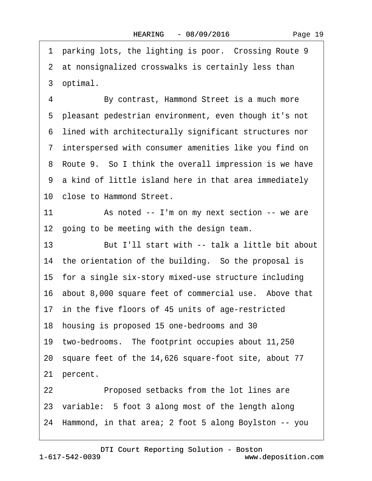1 parking lots, the lighting is poor. Crossing Route 9 2 at nonsignalized crosswalks is certainly less than 3 optimal. 4 By contrast, Hammond Street is a much more 5 pleasant pedestrian environment, even though it's not ·6· lined with architecturally significant structures nor ·7· interspersed with consumer amenities like you find on 8 Route 9. So I think the overall impression is we have ·9· a kind of little island here in that area immediately 10· close to Hammond Street. 11 • As noted -- I'm on my next section -- we are 12 going to be meeting with the design team. 13 **But I'll start with -- talk a little bit about** 14 the orientation of the building. So the proposal is 15· for a single six-story mixed-use structure including 16 about 8,000 square feet of commercial use. Above that 17 in the five floors of 45 units of age-restricted 18· housing is proposed 15 one-bedrooms and 30 19· two-bedrooms.· The footprint occupies about 11,250 20· square feet of the 14,626 square-foot site, about 77 21 percent. 22 **Proposed setbacks from the lot lines are** 23 variable: 5 foot 3 along most of the length along 24· Hammond, in that area; 2 foot 5 along Boylston -- you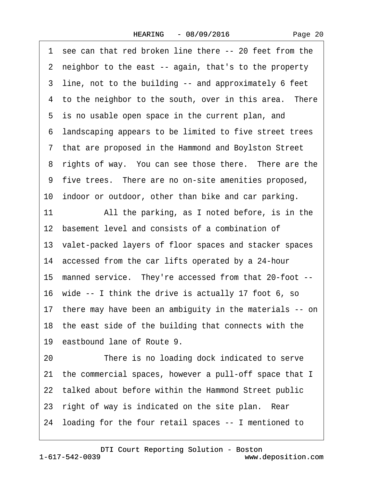1 see can that red broken line there -- 20 feet from the ·2· neighbor to the east -- again, that's to the property 3 line, not to the building -- and approximately 6 feet 4 to the neighbor to the south, over in this area. There 5 is no usable open space in the current plan, and ·6· landscaping appears to be limited to five street trees ·7· that are proposed in the Hammond and Boylston Street 8 rights of way. You can see those there. There are the ·9· five trees.· There are no on-site amenities proposed, 10 indoor or outdoor, other than bike and car parking. 11 All the parking, as I noted before, is in the 12 basement level and consists of a combination of 13· valet-packed layers of floor spaces and stacker spaces 14 accessed from the car lifts operated by a 24-hour 15 manned service. They're accessed from that 20-foot --16· wide -- I think the drive is actually 17 foot 6, so 17· there may have been an ambiguity in the materials -- on 18· the east side of the building that connects with the 19 eastbound lane of Route 9. 20 There is no loading dock indicated to serve 21· the commercial spaces, however a pull-off space that I 22 talked about before within the Hammond Street public 23 right of way is indicated on the site plan. Rear 24· loading for the four retail spaces -- I mentioned to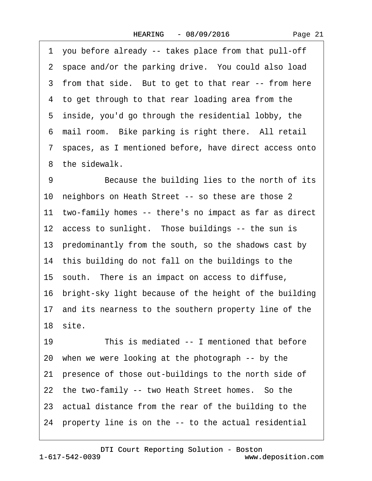·1· you before already -- takes place from that pull-off 2 space and/or the parking drive. You could also load 3 from that side. But to get to that rear -- from here 4 to get through to that rear loading area from the 5 inside, you'd go through the residential lobby, the 6 mail room. Bike parking is right there. All retail ·7· spaces, as I mentioned before, have direct access onto 8 the sidewalk. 9 Because the building lies to the north of its 10 neighbors on Heath Street -- so these are those 2 11 two-family homes -- there's no impact as far as direct 12 access to sunlight. Those buildings -- the sun is 13 predominantly from the south, so the shadows cast by 14 this building do not fall on the buildings to the 15· south.· There is an impact on access to diffuse, 16 bright-sky light because of the height of the building 17 and its nearness to the southern property line of the 18· site. 19 This is mediated -- I mentioned that before 20· when we were looking at the photograph -- by the 21 presence of those out-buildings to the north side of 22 the two-family -- two Heath Street homes. So the 23· actual distance from the rear of the building to the

24· property line is on the -- to the actual residential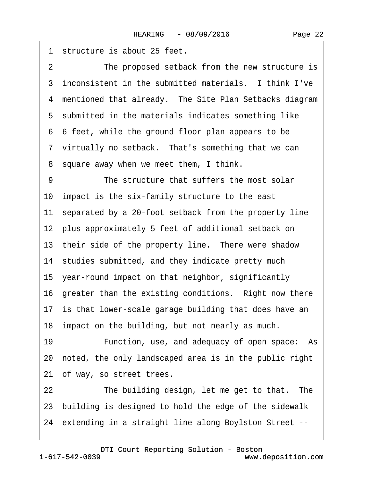1 structure is about 25 feet. 2 The proposed setback from the new structure is 3 inconsistent in the submitted materials. I think I've 4 mentioned that already. The Site Plan Setbacks diagram 5 submitted in the materials indicates something like ·6· 6 feet, while the ground floor plan appears to be 7 virtually no setback. That's something that we can 8 square away when we meet them, I think. 9 The structure that suffers the most solar 10 impact is the six-family structure to the east 11 separated by a 20-foot setback from the property line 12 plus approximately 5 feet of additional setback on 13 their side of the property line. There were shadow 14 studies submitted, and they indicate pretty much 15· year-round impact on that neighbor, significantly 16 greater than the existing conditions. Right now there 17 is that lower-scale garage building that does have an 18 impact on the building, but not nearly as much. 19 • Function, use, and adequacy of open space: As 20· noted, the only landscaped area is in the public right 21 of way, so street trees. 22 The building design, let me get to that. The 23· building is designed to hold the edge of the sidewalk

24· extending in a straight line along Boylston Street --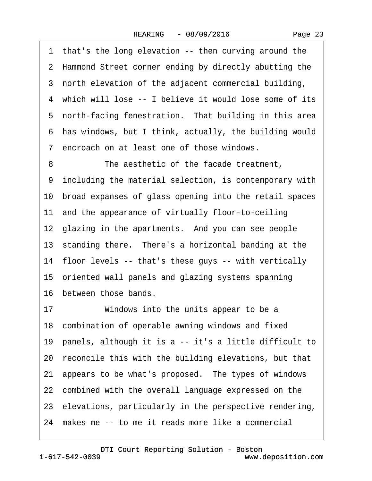1 that's the long elevation -- then curving around the 2 Hammond Street corner ending by directly abutting the ·3· north elevation of the adjacent commercial building, 4 which will lose -- I believe it would lose some of its 5 north-facing fenestration. That building in this area ·6· has windows, but I think, actually, the building would ·7· encroach on at least one of those windows. 8 The aesthetic of the facade treatment. ·9· including the material selection, is contemporary with 10· broad expanses of glass opening into the retail spaces 11 and the appearance of virtually floor-to-ceiling 12 glazing in the apartments. And you can see people 13 standing there. There's a horizontal banding at the 14· floor levels -- that's these guys -- with vertically 15· oriented wall panels and glazing systems spanning 16· between those bands. 17 Windows into the units appear to be a 18 combination of operable awning windows and fixed 19· panels, although it is a -- it's a little difficult to 20 reconcile this with the building elevations, but that 21· appears to be what's proposed.· The types of windows 22 combined with the overall language expressed on the 23· elevations, particularly in the perspective rendering,

24 makes me -- to me it reads more like a commercial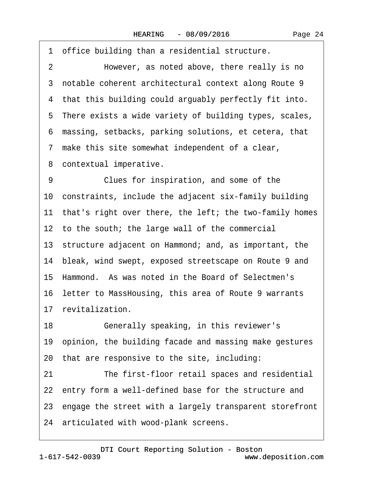Page 24

|    | 1 office building than a residential structure.            |
|----|------------------------------------------------------------|
| 2  | However, as noted above, there really is no                |
|    | 3 notable coherent architectural context along Route 9     |
|    | 4 that this building could arguably perfectly fit into.    |
|    | 5 There exists a wide variety of building types, scales,   |
| 6  | massing, setbacks, parking solutions, et cetera, that      |
|    | 7 make this site somewhat independent of a clear,          |
|    | 8 contextual imperative.                                   |
| 9  | Clues for inspiration, and some of the                     |
|    | 10 constraints, include the adjacent six-family building   |
|    | 11 that's right over there, the left; the two-family homes |
|    | 12 to the south; the large wall of the commercial          |
|    | 13 structure adjacent on Hammond; and, as important, the   |
|    | 14 bleak, wind swept, exposed streetscape on Route 9 and   |
|    | 15 Hammond. As was noted in the Board of Selectmen's       |
|    | 16 letter to MassHousing, this area of Route 9 warrants    |
|    | 17 revitalization.                                         |
| 18 | Generally speaking, in this reviewer's                     |
|    | 19 opinion, the building facade and massing make gestures  |
|    | 20 that are responsive to the site, including:             |
| 21 | The first-floor retail spaces and residential              |
|    | 22 entry form a well-defined base for the structure and    |
|    | 23 engage the street with a largely transparent storefront |
|    | 24 articulated with wood-plank screens.                    |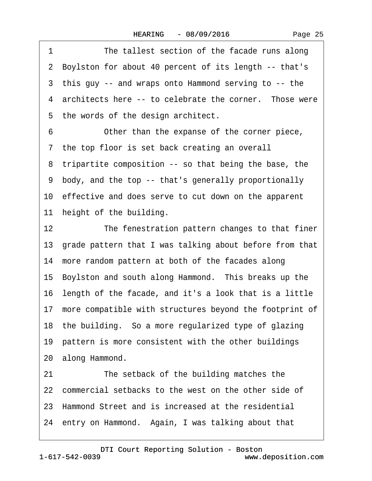| Page 25 |  |
|---------|--|
|---------|--|

1 The tallest section of the facade runs along ·2· Boylston for about 40 percent of its length -- that's ·3· this guy -- and wraps onto Hammond serving to -- the 4 architects here -- to celebrate the corner. Those were 5 the words of the design architect. 6 Other than the expanse of the corner piece, 7 the top floor is set back creating an overall 8 tripartite composition -- so that being the base, the ·9· body, and the top -- that's generally proportionally 10· effective and does serve to cut down on the apparent 11 height of the building. 12 The fenestration pattern changes to that finer 13· grade pattern that I was talking about before from that 14 more random pattern at both of the facades along 15· Boylston and south along Hammond.· This breaks up the 16· length of the facade, and it's a look that is a little 17 more compatible with structures beyond the footprint of 18· the building.· So a more regularized type of glazing 19 pattern is more consistent with the other buildings 20 along Hammond. 21 The setback of the building matches the 22 commercial setbacks to the west on the other side of 23· Hammond Street and is increased at the residential 24 entry on Hammond. Again, I was talking about that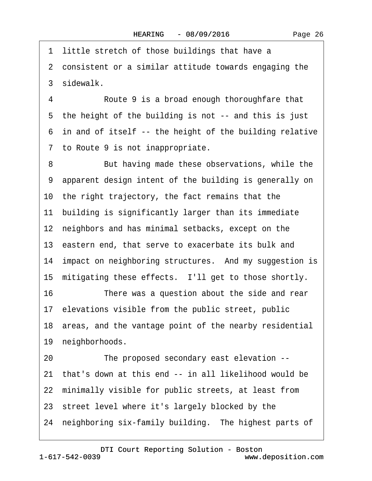1 little stretch of those buildings that have a ·2· consistent or a similar attitude towards engaging the 3 sidewalk. 4 Route 9 is a broad enough thoroughfare that 5 the height of the building is not -- and this is just ·6· in and of itself -- the height of the building relative ·7· to Route 9 is not inappropriate. 8 But having made these observations, while the ·9· apparent design intent of the building is generally on 10 the right trajectory, the fact remains that the 11 building is significantly larger than its immediate

12 neighbors and has minimal setbacks, except on the

13· eastern end, that serve to exacerbate its bulk and

14 impact on neighboring structures. And my suggestion is

15 mitigating these effects. I'll get to those shortly.

16 There was a question about the side and rear

17 elevations visible from the public street, public

18 areas, and the vantage point of the nearby residential

19 neighborhoods.

20 The proposed secondary east elevation --21· that's down at this end -- in all likelihood would be 22 minimally visible for public streets, at least from 23 street level where it's largely blocked by the 24 neighboring six-family building. The highest parts of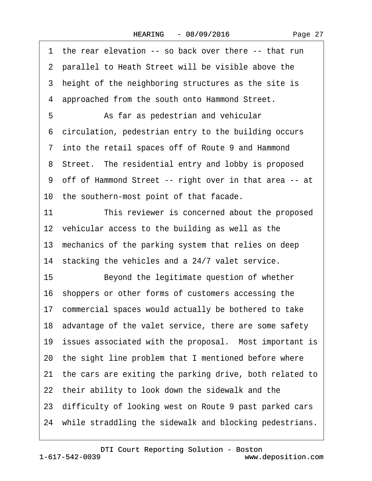1 the rear elevation -- so back over there -- that run 2 parallel to Heath Street will be visible above the 3 height of the neighboring structures as the site is 4 approached from the south onto Hammond Street. 5 • Sale as pedestrian and vehicular ·6· circulation, pedestrian entry to the building occurs ·7· into the retail spaces off of Route 9 and Hammond 8 Street. The residential entry and lobby is proposed ·9· off of Hammond Street -- right over in that area -- at 10 the southern-most point of that facade. 11 This reviewer is concerned about the proposed 12 vehicular access to the building as well as the 13 mechanics of the parking system that relies on deep 14 stacking the vehicles and a 24/7 valet service. 15 Beyond the legitimate question of whether 16· shoppers or other forms of customers accessing the 17 commercial spaces would actually be bothered to take 18· advantage of the valet service, there are some safety 19 issues associated with the proposal. Most important is 20· the sight line problem that I mentioned before where 21· the cars are exiting the parking drive, both related to 22 their ability to look down the sidewalk and the 23· difficulty of looking west on Route 9 past parked cars 24 while straddling the sidewalk and blocking pedestrians.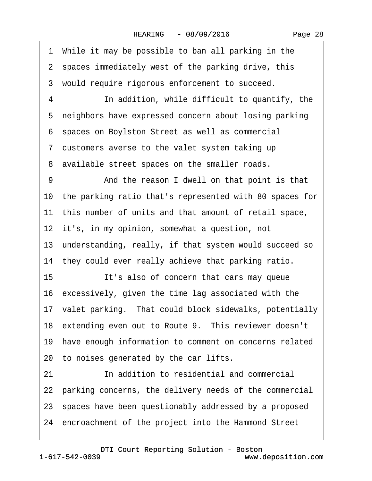·1· While it may be possible to ban all parking in the 2 spaces immediately west of the parking drive, this 3 would require rigorous enforcement to succeed. 4 **In addition, while difficult to quantify, the** 5 neighbors have expressed concern about losing parking ·6· spaces on Boylston Street as well as commercial ·7· customers averse to the valet system taking up 8 available street spaces on the smaller roads. 9 • • And the reason I dwell on that point is that 10· the parking ratio that's represented with 80 spaces for 11 this number of units and that amount of retail space, 12 it's, in my opinion, somewhat a question, not 13 understanding, really, if that system would succeed so 14 they could ever really achieve that parking ratio. 15 **It's also of concern that cars may queue** 16· excessively, given the time lag associated with the 17· valet parking.· That could block sidewalks, potentially 18 extending even out to Route 9. This reviewer doesn't 19 have enough information to comment on concerns related 20· to noises generated by the car lifts. 21 **In addition to residential and commercial** 22 parking concerns, the delivery needs of the commercial 23· spaces have been questionably addressed by a proposed 24 encroachment of the project into the Hammond Street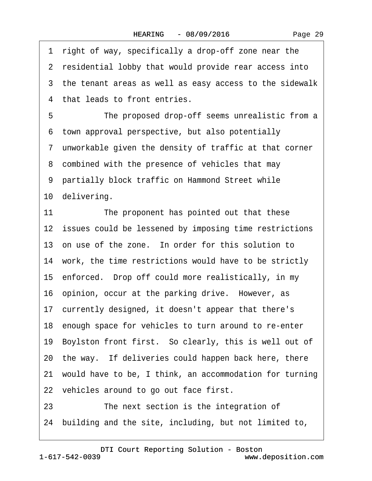1 right of way, specifically a drop-off zone near the 2 residential lobby that would provide rear access into 3 the tenant areas as well as easy access to the sidewalk 4 that leads to front entries. 5 The proposed drop-off seems unrealistic from a ·6· town approval perspective, but also potentially ·7· unworkable given the density of traffic at that corner 8 combined with the presence of vehicles that may 9 partially block traffic on Hammond Street while 10 delivering. 11 The proponent has pointed out that these 12 issues could be lessened by imposing time restrictions 13 on use of the zone. In order for this solution to 14 work, the time restrictions would have to be strictly 15· enforced.· Drop off could more realistically, in my 16 opinion, occur at the parking drive. However, as 17 currently designed, it doesn't appear that there's 18 enough space for vehicles to turn around to re-enter 19· Boylston front first.· So clearly, this is well out of 20· the way.· If deliveries could happen back here, there 21· would have to be, I think, an accommodation for turning 22 vehicles around to go out face first. 23 **• The next section is the integration of** 

24· building and the site, including, but not limited to,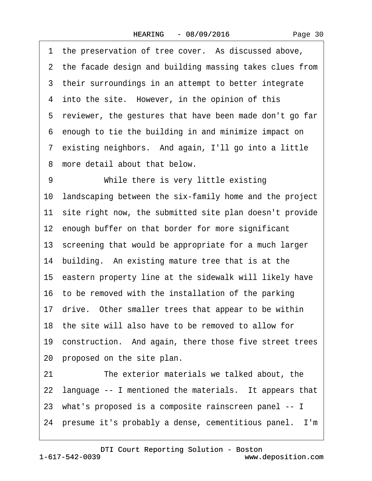|    | 1 the preservation of tree cover. As discussed above,      |
|----|------------------------------------------------------------|
|    | 2 the facade design and building massing takes clues from  |
|    | 3 their surroundings in an attempt to better integrate     |
|    | 4 into the site. However, in the opinion of this           |
|    | 5 reviewer, the gestures that have been made don't go far  |
|    | 6 enough to tie the building in and minimize impact on     |
|    | 7 existing neighbors. And again, I'll go into a little     |
|    | 8 more detail about that below.                            |
| 9  | While there is very little existing                        |
|    | 10 landscaping between the six-family home and the project |
|    | 11 site right now, the submitted site plan doesn't provide |
|    | 12 enough buffer on that border for more significant       |
|    | 13 screening that would be appropriate for a much larger   |
|    | 14 building. An existing mature tree that is at the        |
|    | 15 eastern property line at the sidewalk will likely have  |
|    | 16 to be removed with the installation of the parking      |
|    | 17 drive. Other smaller trees that appear to be within     |
|    | 18 the site will also have to be removed to allow for      |
|    | 19 construction. And again, there those five street trees  |
|    | 20 proposed on the site plan.                              |
| 21 | The exterior materials we talked about, the                |
|    | 22 language -- I mentioned the materials. It appears that  |
|    | 23 what's proposed is a composite rainscreen panel -- I    |
|    | 24 presume it's probably a dense, cementitious panel. I'm  |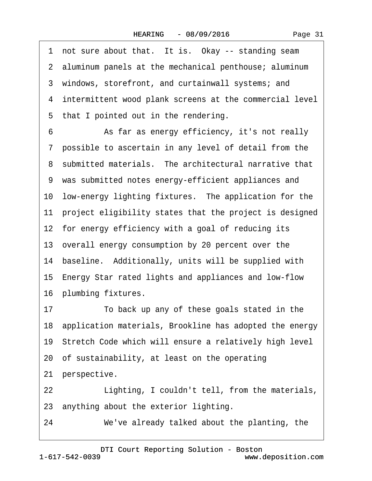1 not sure about that. It is. Okay -- standing seam 2 aluminum panels at the mechanical penthouse; aluminum 3 windows, storefront, and curtainwall systems; and ·4· intermittent wood plank screens at the commercial level 5 that I pointed out in the rendering. 6 **• • As far as energy efficiency, it's not really** ·7· possible to ascertain in any level of detail from the 8 submitted materials. The architectural narrative that ·9· was submitted notes energy-efficient appliances and 10 low-energy lighting fixtures. The application for the 11 project eligibility states that the project is designed 12 for energy efficiency with a goal of reducing its 13· overall energy consumption by 20 percent over the 14 baseline. Additionally, units will be supplied with 15 Energy Star rated lights and appliances and low-flow 16 plumbing fixtures. 17 To back up any of these goals stated in the 18· application materials, Brookline has adopted the energy 19· Stretch Code which will ensure a relatively high level 20· of sustainability, at least on the operating 21 perspective. 22 Lighting, I couldn't tell, from the materials, 23· anything about the exterior lighting.

24 We've already talked about the planting, the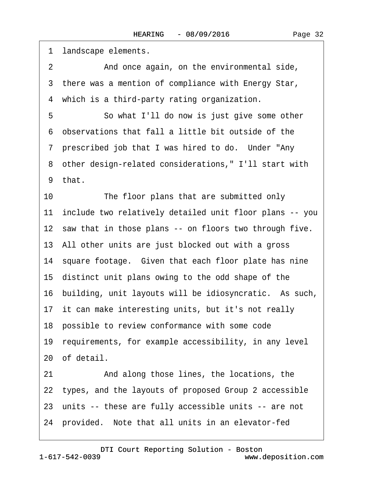1 landscape elements. 2 And once again, on the environmental side, 3 there was a mention of compliance with Energy Star, 4 which is a third-party rating organization. 5 **· · · · So what I'll do now is just give some other** ·6· observations that fall a little bit outside of the 7 prescribed job that I was hired to do. Under "Any" ·8· other design-related considerations," I'll start with 9 that. 10 The floor plans that are submitted only 11· include two relatively detailed unit floor plans -- you 12 saw that in those plans -- on floors two through five. 13· All other units are just blocked out with a gross 14 square footage. Given that each floor plate has nine 15· distinct unit plans owing to the odd shape of the 16· building, unit layouts will be idiosyncratic.· As such, 17 it can make interesting units, but it's not really 18 possible to review conformance with some code 19· requirements, for example accessibility, in any level 20· of detail. 21 And along those lines, the locations, the 22 types, and the layouts of proposed Group 2 accessible 23 units -- these are fully accessible units -- are not 24 provided. Note that all units in an elevator-fed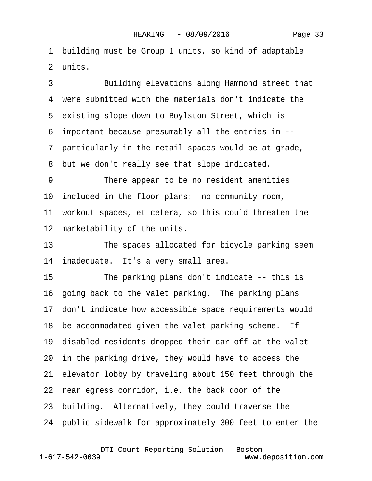·1· building must be Group 1 units, so kind of adaptable 2 units.

3 Building elevations along Hammond street that ·4· were submitted with the materials don't indicate the 5 existing slope down to Boylston Street, which is ·6· important because presumably all the entries in -- ·7· particularly in the retail spaces would be at grade, 8 but we don't really see that slope indicated. 9 There appear to be no resident amenities 10· included in the floor plans:· no community room, 11· workout spaces, et cetera, so this could threaten the 12 marketability of the units.

13 The spaces allocated for bicycle parking seem 14 inadequate. It's a very small area.

15 The parking plans don't indicate -- this is 16 going back to the valet parking. The parking plans 17· don't indicate how accessible space requirements would 18 be accommodated given the valet parking scheme. If 19· disabled residents dropped their car off at the valet 20 in the parking drive, they would have to access the 21· elevator lobby by traveling about 150 feet through the 22 rear egress corridor, i.e. the back door of the 23· building.· Alternatively, they could traverse the 24· public sidewalk for approximately 300 feet to enter the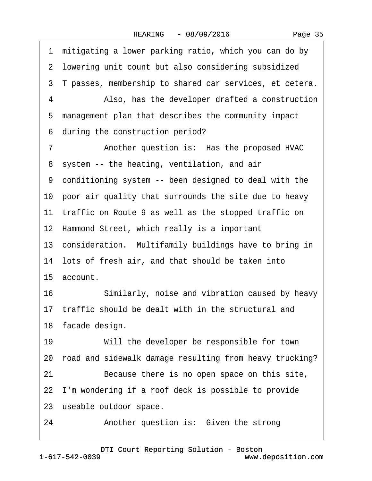1 mitigating a lower parking ratio, which you can do by 2 lowering unit count but also considering subsidized 3 T passes, membership to shared car services, et cetera. 4 • Also, has the developer drafted a construction 5 management plan that describes the community impact 6 during the construction period? 7 • **Another question is: Has the proposed HVAC** 8 system -- the heating, ventilation, and air ·9· conditioning system -- been designed to deal with the 10 poor air quality that surrounds the site due to heavy 11 traffic on Route 9 as well as the stopped traffic on 12 Hammond Street, which really is a important 13 consideration. Multifamily buildings have to bring in 14 lots of fresh air, and that should be taken into 15· account. 16 Similarly, noise and vibration caused by heavy 17 traffic should be dealt with in the structural and 18 facade design. 19 Will the developer be responsible for town 20· road and sidewalk damage resulting from heavy trucking? 21 Because there is no open space on this site, 22· I'm wondering if a roof deck is possible to provide 23 useable outdoor space. 24 • **Another question is: Given the strong**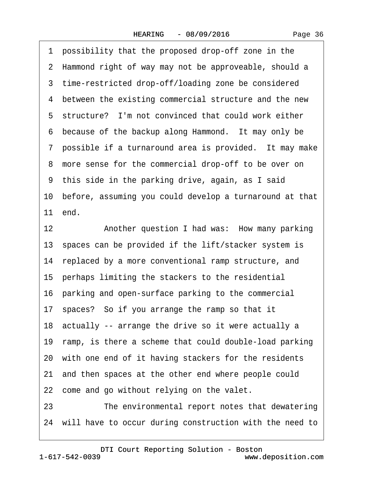·1· possibility that the proposed drop-off zone in the 2 Hammond right of way may not be approveable, should a 3 time-restricted drop-off/loading zone be considered 4 between the existing commercial structure and the new 5 structure? I'm not convinced that could work either 6 because of the backup along Hammond. It may only be 7 possible if a turnaround area is provided. It may make 8 more sense for the commercial drop-off to be over on ·9· this side in the parking drive, again, as I said 10· before, assuming you could develop a turnaround at that 11 end. 12 • Another question I had was: How many parking 13 spaces can be provided if the lift/stacker system is 14 replaced by a more conventional ramp structure, and 15 perhaps limiting the stackers to the residential 16 parking and open-surface parking to the commercial 17· spaces?· So if you arrange the ramp so that it 18 actually -- arrange the drive so it were actually a 19 ramp, is there a scheme that could double-load parking 20 with one end of it having stackers for the residents 21· and then spaces at the other end where people could 22 come and go without relying on the valet. 23 The environmental report notes that dewatering 24· will have to occur during construction with the need to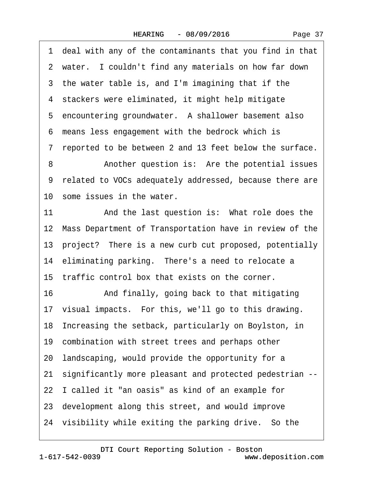<span id="page-36-0"></span>·1· deal with any of the contaminants that you find in that 2 water. I couldn't find any materials on how far down 3 the water table is, and I'm imagining that if the 4 stackers were eliminated, it might help mitigate 5 encountering groundwater. A shallower basement also ·6· means less engagement with the bedrock which is ·7· reported to be between 2 and 13 feet below the surface. 8 • **Another question is:** Are the potential issues ·9· related to VOCs adequately addressed, because there are 10 some issues in the water. 11 And the last question is: What role does the 12 Mass Department of Transportation have in review of the 13· project?· There is a new curb cut proposed, potentially 14 eliminating parking. There's a need to relocate a 15 traffic control box that exists on the corner. 16 • And finally, going back to that mitigating 17· visual impacts.· For this, we'll go to this drawing. 18· Increasing the setback, particularly on Boylston, in 19 combination with street trees and perhaps other 20· landscaping, would provide the opportunity for a 21· significantly more pleasant and protected pedestrian -- 22 I called it "an oasis" as kind of an example for 23· development along this street, and would improve 24 visibility while exiting the parking drive. So the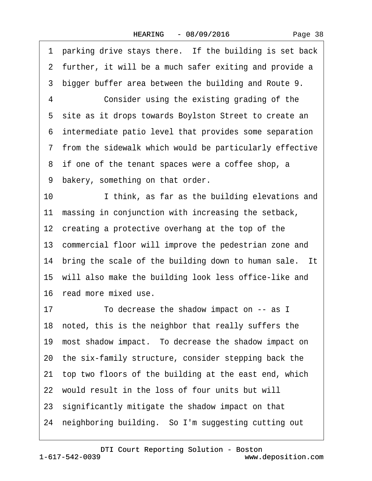<span id="page-37-0"></span>1 parking drive stays there. If the building is set back 2 further, it will be a much safer exiting and provide a ·3· bigger buffer area between the building and Route 9. 4 Consider using the existing grading of the 5 site as it drops towards Boylston Street to create an ·6· intermediate patio level that provides some separation ·7· from the sidewalk which would be particularly effective 8 if one of the tenant spaces were a coffee shop, a 9 bakery, something on that order. 10 I think, as far as the building elevations and 11 massing in conjunction with increasing the setback, 12 creating a protective overhang at the top of the 13 commercial floor will improve the pedestrian zone and 14 bring the scale of the building down to human sale. It 15 will also make the building look less office-like and 16· read more mixed use. 17 To decrease the shadow impact on -- as I 18 noted, this is the neighbor that really suffers the 19 most shadow impact. To decrease the shadow impact on 20· the six-family structure, consider stepping back the 21 top two floors of the building at the east end, which 22· would result in the loss of four units but will 23· significantly mitigate the shadow impact on that 24 neighboring building. So I'm suggesting cutting out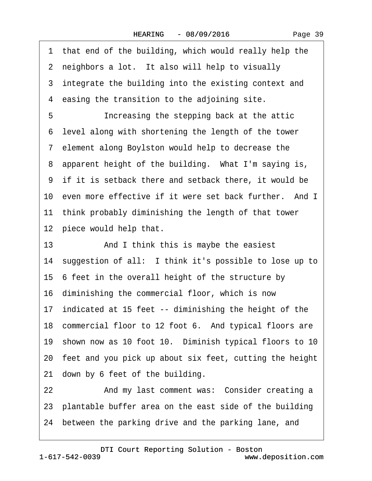|  | Page 39 |  |
|--|---------|--|
|--|---------|--|

<span id="page-38-0"></span>1 that end of the building, which would really help the 2 neighbors a lot. It also will help to visually 3 integrate the building into the existing context and 4 easing the transition to the adjoining site. 5 **Increasing the stepping back at the attic** ·6· level along with shortening the length of the tower ·7· element along Boylston would help to decrease the 8 apparent height of the building. What I'm saying is, ·9· if it is setback there and setback there, it would be 10 even more effective if it were set back further. And I 11 think probably diminishing the length of that tower 12 piece would help that. 13 • **And I think this is maybe the easiest** 14 suggestion of all: I think it's possible to lose up to 15 6 feet in the overall height of the structure by 16· diminishing the commercial floor, which is now 17 indicated at 15 feet -- diminishing the height of the 18 commercial floor to 12 foot 6. And typical floors are 19 shown now as 10 foot 10. Diminish typical floors to 10 20· feet and you pick up about six feet, cutting the height 21 down by 6 feet of the building. 22 And my last comment was: Consider creating a

23· plantable buffer area on the east side of the building

24 between the parking drive and the parking lane, and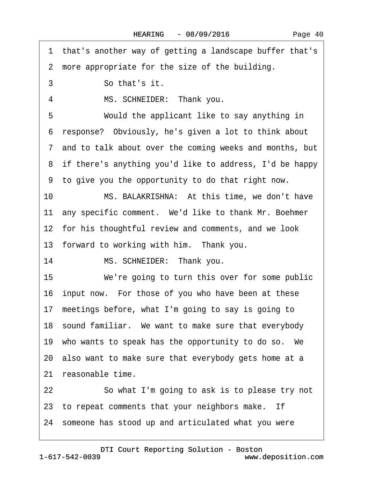<span id="page-39-0"></span>·1· that's another way of getting a landscape buffer that's 2 more appropriate for the size of the building. 3 **So that's it.** 4 MS. SCHNEIDER: Thank you. 5 Would the applicant like to say anything in ·6· response?· Obviously, he's given a lot to think about ·7· and to talk about over the coming weeks and months, but 8 if there's anything you'd like to address, I'd be happy ·9· to give you the opportunity to do that right now. 10 MS. BALAKRISHNA: At this time, we don't have 11 any specific comment. We'd like to thank Mr. Boehmer 12 for his thoughtful review and comments, and we look 13 forward to working with him. Thank you. 14 MS. SCHNEIDER: Thank you. 15 We're going to turn this over for some public 16 input now. For those of you who have been at these 17· meetings before, what I'm going to say is going to 18 sound familiar. We want to make sure that everybody 19 who wants to speak has the opportunity to do so. We 20· also want to make sure that everybody gets home at a 21 reasonable time. 22 So what I'm going to ask is to please try not 23 to repeat comments that your neighbors make. If 24· someone has stood up and articulated what you were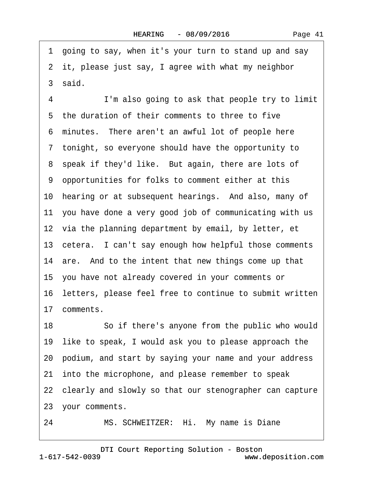<span id="page-40-0"></span>·1· going to say, when it's your turn to stand up and say 2 it, please just say, I agree with what my neighbor 3 said. 4 I'm also going to ask that people try to limit 5 the duration of their comments to three to five 6 minutes. There aren't an awful lot of people here ·7· tonight, so everyone should have the opportunity to 8 speak if they'd like. But again, there are lots of ·9· opportunities for folks to comment either at this 10 hearing or at subsequent hearings. And also, many of 11 you have done a very good job of communicating with us 12 via the planning department by email, by letter, et 13 cetera. I can't say enough how helpful those comments 14 are. And to the intent that new things come up that 15· you have not already covered in your comments or 16 letters, please feel free to continue to submit written 17 comments. 18 • So if there's anyone from the public who would 19 like to speak, I would ask you to please approach the 20· podium, and start by saying your name and your address 21 into the microphone, and please remember to speak 22 clearly and slowly so that our stenographer can capture 23· your comments.

24 MS. SCHWEITZER: Hi. My name is Diane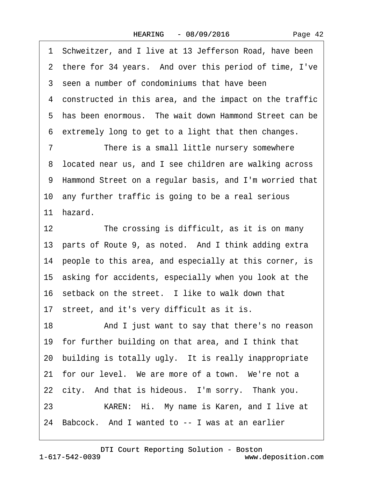<span id="page-41-0"></span>·1· Schweitzer, and I live at 13 Jefferson Road, have been 2 there for 34 years. And over this period of time, I've 3 seen a number of condominiums that have been 4 constructed in this area, and the impact on the traffic 5 has been enormous. The wait down Hammond Street can be ·6· extremely long to get to a light that then changes. 7 There is a small little nursery somewhere 8 located near us, and I see children are walking across ·9· Hammond Street on a regular basis, and I'm worried that 10 any further traffic is going to be a real serious 11 hazard. 12 The crossing is difficult, as it is on many 13 parts of Route 9, as noted. And I think adding extra 14 people to this area, and especially at this corner, is 15· asking for accidents, especially when you look at the 16 setback on the street. I like to walk down that 17 street, and it's very difficult as it is. 18 • And I just want to say that there's no reason 19· for further building on that area, and I think that 20 building is totally ugly. It is really inappropriate 21 for our level. We are more of a town. We're not a 22 city. And that is hideous. I'm sorry. Thank you. 23 • • • KAREN: Hi. My name is Karen, and I live at 24 Babcock. And I wanted to -- I was at an earlier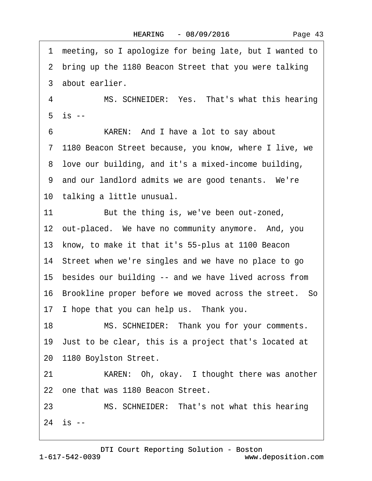<span id="page-42-0"></span>·1· meeting, so I apologize for being late, but I wanted to 2 bring up the 1180 Beacon Street that you were talking 3 about earlier. 4 MS. SCHNEIDER: Yes. That's what this hearing  $5$  is  $-$ 6 • **KAREN:** And I have a lot to say about ·7· 1180 Beacon Street because, you know, where I live, we ·8· love our building, and it's a mixed-income building, 9 and our landlord admits we are good tenants. We're 10 talking a little unusual. 11 But the thing is, we've been out-zoned, 12 out-placed. We have no community anymore. And, you 13· know, to make it that it's 55-plus at 1100 Beacon 14 Street when we're singles and we have no place to go 15· besides our building -- and we have lived across from 16 Brookline proper before we moved across the street. So 17 I hope that you can help us. Thank you. 18 MS. SCHNEIDER: Thank you for your comments. 19· Just to be clear, this is a project that's located at 20 1180 Boylston Street. 21 • **KAREN:** Oh, okay. I thought there was another 22 one that was 1180 Beacon Street. 23 MS. SCHNEIDER: That's not what this hearing  $24$  is  $-$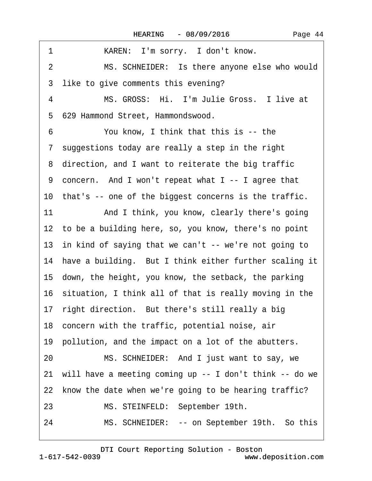<span id="page-43-0"></span>

| 1<br>KAREN: I'm sorry. I don't know.                            |
|-----------------------------------------------------------------|
| MS. SCHNEIDER: Is there anyone else who would<br>$\overline{2}$ |
| 3 like to give comments this evening?                           |
| MS. GROSS: Hi. I'm Julie Gross. I live at<br>4                  |
| 5 629 Hammond Street, Hammondswood.                             |
| You know, I think that this is -- the<br>6                      |
| 7 suggestions today are really a step in the right              |
| 8 direction, and I want to reiterate the big traffic            |
| 9 concern. And I won't repeat what I -- I agree that            |
| 10 that's -- one of the biggest concerns is the traffic.        |
| 11<br>And I think, you know, clearly there's going              |
| 12 to be a building here, so, you know, there's no point        |
| 13 in kind of saying that we can't -- we're not going to        |
| 14 have a building. But I think either further scaling it       |
| 15 down, the height, you know, the setback, the parking         |
| 16 situation, I think all of that is really moving in the       |
| 17 right direction. But there's still really a big              |
| 18 concern with the traffic, potential noise, air               |
| 19 pollution, and the impact on a lot of the abutters.          |
| MS. SCHNEIDER: And I just want to say, we<br>20                 |
| 21 will have a meeting coming up -- I don't think -- do we      |
| 22 know the date when we're going to be hearing traffic?        |
| 23<br>MS. STEINFELD: September 19th.                            |
| 24<br>MS. SCHNEIDER: -- on September 19th. So this              |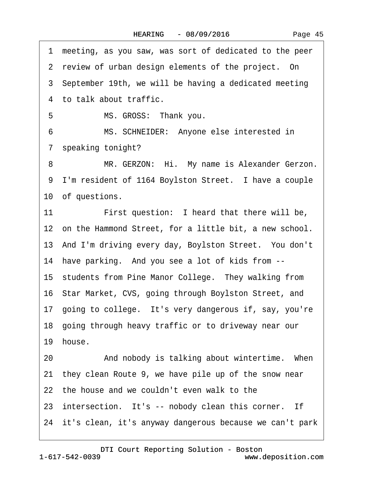<span id="page-44-0"></span>·1· meeting, as you saw, was sort of dedicated to the peer 2 review of urban design elements of the project. On 3 September 19th, we will be having a dedicated meeting 4 to talk about traffic. 5 MS. GROSS: Thank you. 6 MS. SCHNEIDER: Anyone else interested in ·7· speaking tonight? 8 MR. GERZON: Hi. My name is Alexander Gerzon. 9 I'm resident of 1164 Boylston Street. I have a couple 10 of questions. 11 First question: I heard that there will be, 12 on the Hammond Street, for a little bit, a new school. 13 And I'm driving every day, Boylston Street. You don't 14 have parking. And you see a lot of kids from --15 students from Pine Manor College. They walking from 16 Star Market, CVS, going through Boylston Street, and 17 going to college. It's very dangerous if, say, you're 18· going through heavy traffic or to driveway near our 19 house. 20 • And nobody is talking about wintertime. When 21· they clean Route 9, we have pile up of the snow near 22 the house and we couldn't even walk to the 23 intersection. It's -- nobody clean this corner. If 24· it's clean, it's anyway dangerous because we can't park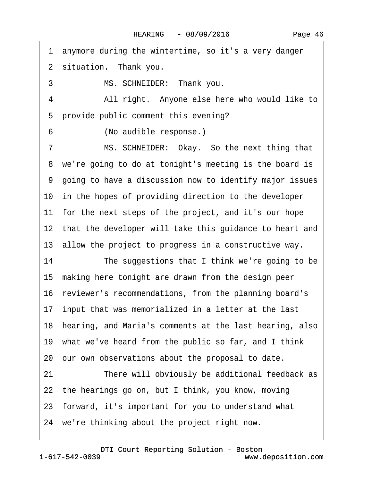<span id="page-45-0"></span>·1· anymore during the wintertime, so it's a very danger 2 situation. Thank you. 3 MS. SCHNEIDER: Thank you. 4 All right. Anyone else here who would like to 5 provide public comment this evening? 6 (No audible response.) 7 MS. SCHNEIDER: Okay. So the next thing that 8 we're going to do at tonight's meeting is the board is ·9· going to have a discussion now to identify major issues 10 in the hopes of providing direction to the developer 11 for the next steps of the project, and it's our hope 12 that the developer will take this guidance to heart and 13 allow the project to progress in a constructive way. 14 The suggestions that I think we're going to be 15· making here tonight are drawn from the design peer 16 reviewer's recommendations, from the planning board's 17 input that was memorialized in a letter at the last 18· hearing, and Maria's comments at the last hearing, also 19· what we've heard from the public so far, and I think 20· our own observations about the proposal to date. 21 There will obviously be additional feedback as 22· the hearings go on, but I think, you know, moving 23· forward, it's important for you to understand what 24· we're thinking about the project right now.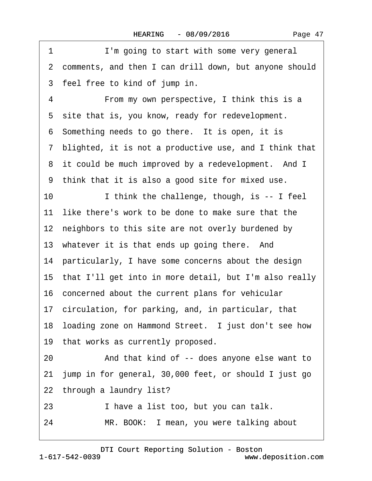|  | Page 47 |  |
|--|---------|--|
|--|---------|--|

<span id="page-46-0"></span>

| 1  | I'm going to start with some very general                 |
|----|-----------------------------------------------------------|
|    | 2 comments, and then I can drill down, but anyone should  |
|    | 3 feel free to kind of jump in.                           |
| 4  | From my own perspective, I think this is a                |
|    | 5 site that is, you know, ready for redevelopment.        |
|    | 6 Something needs to go there. It is open, it is          |
|    | 7 blighted, it is not a productive use, and I think that  |
|    | 8 it could be much improved by a redevelopment. And I     |
|    | 9 think that it is also a good site for mixed use.        |
| 10 | I think the challenge, though, is -- I feel               |
|    | 11 like there's work to be done to make sure that the     |
|    | 12 neighbors to this site are not overly burdened by      |
|    | 13 whatever it is that ends up going there. And           |
|    | 14 particularly, I have some concerns about the design    |
|    | 15 that I'll get into in more detail, but I'm also really |
|    | 16 concerned about the current plans for vehicular        |
|    | 17 circulation, for parking, and, in particular, that     |
|    | 18 loading zone on Hammond Street. I just don't see how   |
|    | 19 that works as currently proposed.                      |
| 20 | And that kind of -- does anyone else want to              |
|    | 21 jump in for general, 30,000 feet, or should I just go  |
|    | 22 through a laundry list?                                |
| 23 | I have a list too, but you can talk.                      |
| 24 | MR. BOOK: I mean, you were talking about                  |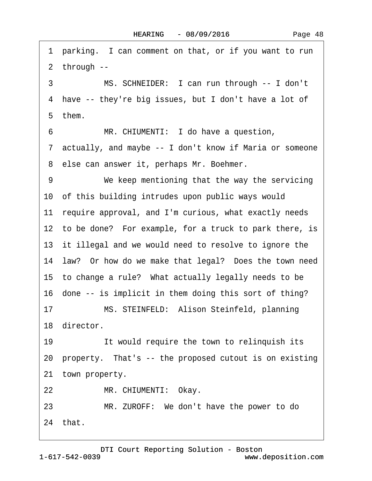<span id="page-47-0"></span>1 parking. I can comment on that, or if you want to run ·2· through -- 3 MS. SCHNEIDER: I can run through -- I don't 4 have -- they're big issues, but I don't have a lot of 5 them. 6 MR. CHIUMENTI: I do have a question, ·7· actually, and maybe -- I don't know if Maria or someone 8 else can answer it, perhaps Mr. Boehmer. 9 We keep mentioning that the way the servicing 10· of this building intrudes upon public ways would 11 require approval, and I'm curious, what exactly needs 12 to be done? For example, for a truck to park there, is 13 it illegal and we would need to resolve to ignore the 14 law? Or how do we make that legal? Does the town need 15 to change a rule? What actually legally needs to be 16 done -- is implicit in them doing this sort of thing? 17 MS. STEINFELD: Alison Steinfeld, planning 18 director. 19 **If would require the town to relinquish its** 20 property. That's -- the proposed cutout is on existing 21 town property. 22 MR. CHIUMENTI: Okay. 23 MR. ZUROFF: We don't have the power to do 24· that.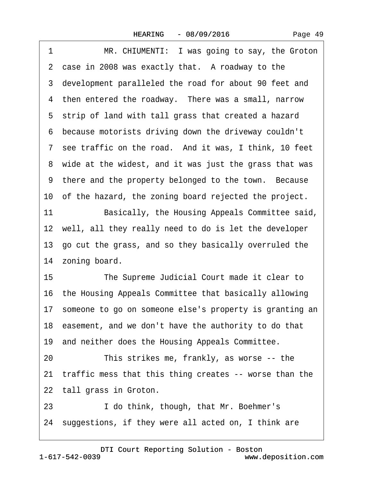<span id="page-48-0"></span>1 MR. CHIUMENTI: I was going to say, the Groton 2 case in 2008 was exactly that. A roadway to the ·3· development paralleled the road for about 90 feet and 4 then entered the roadway. There was a small, narrow 5 strip of land with tall grass that created a hazard ·6· because motorists driving down the driveway couldn't 7 see traffic on the road. And it was, I think, 10 feet 8 wide at the widest, and it was just the grass that was 9 there and the property belonged to the town. Because 10 of the hazard, the zoning board rejected the project. 11 Basically, the Housing Appeals Committee said, 12 well, all they really need to do is let the developer 13· go cut the grass, and so they basically overruled the 14 zoning board. 15 The Supreme Judicial Court made it clear to 16· the Housing Appeals Committee that basically allowing 17· someone to go on someone else's property is granting an 18 easement, and we don't have the authority to do that 19 and neither does the Housing Appeals Committee. 20 This strikes me, frankly, as worse -- the 21 traffic mess that this thing creates -- worse than the 22 tall grass in Groton. 23 I do think, though, that Mr. Boehmer's

24 suggestions, if they were all acted on, I think are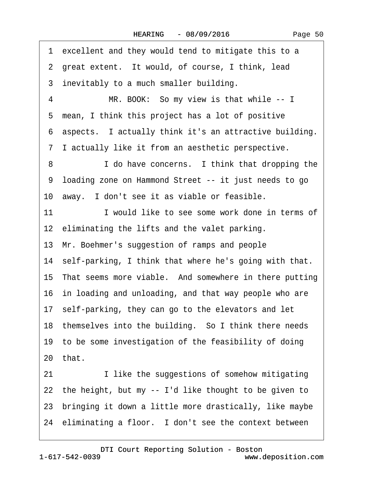<span id="page-49-0"></span>1 excellent and they would tend to mitigate this to a 2 great extent. It would, of course, I think, lead 3 inevitably to a much smaller building. 4 MR. BOOK: So my view is that while -- I 5 mean, I think this project has a lot of positive ·6· aspects.· I actually think it's an attractive building. ·7· I actually like it from an aesthetic perspective. 8 **I** do have concerns. I think that dropping the ·9· loading zone on Hammond Street -- it just needs to go 10 away. I don't see it as viable or feasible. 11 I would like to see some work done in terms of 12 eliminating the lifts and the valet parking. 13· Mr. Boehmer's suggestion of ramps and people 14 self-parking, I think that where he's going with that. 15 That seems more viable. And somewhere in there putting 16· in loading and unloading, and that way people who are 17· self-parking, they can go to the elevators and let 18 themselves into the building. So I think there needs 19 to be some investigation of the feasibility of doing  $20$  that. 21 I like the suggestions of somehow mitigating 22 the height, but my -- I'd like thought to be given to 23 bringing it down a little more drastically, like maybe 24 eliminating a floor. I don't see the context between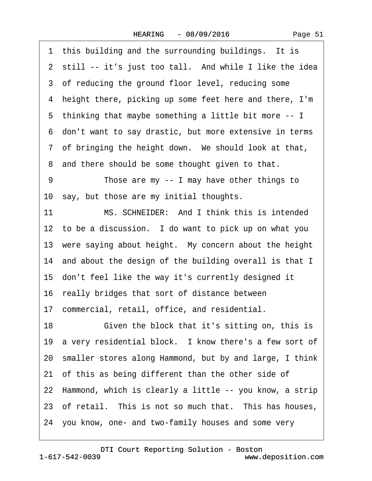<span id="page-50-0"></span>1 this building and the surrounding buildings. It is 2 still -- it's just too tall. And while I like the idea 3 of reducing the ground floor level, reducing some ·4· height there, picking up some feet here and there, I'm ·5· thinking that maybe something a little bit more -- I ·6· don't want to say drastic, but more extensive in terms 7 of bringing the height down. We should look at that, 8 and there should be some thought given to that. 9 Those are my -- I may have other things to 10 say, but those are my initial thoughts. 11 MS. SCHNEIDER: And I think this is intended 12 to be a discussion. I do want to pick up on what you 13 were saying about height. My concern about the height 14 and about the design of the building overall is that I 15· don't feel like the way it's currently designed it 16· really bridges that sort of distance between 17· commercial, retail, office, and residential. 18 **· • Given the block that it's sitting on, this is** 19 a very residential block. I know there's a few sort of 20· smaller stores along Hammond, but by and large, I think 21 of this as being different than the other side of 22 Hammond, which is clearly a little -- you know, a strip 23 of retail. This is not so much that. This has houses, 24· you know, one- and two-family houses and some very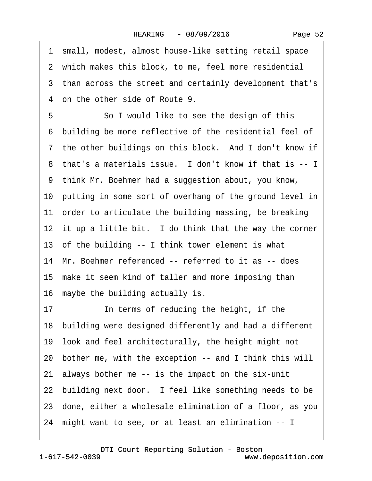<span id="page-51-0"></span>·1· small, modest, almost house-like setting retail space 2 which makes this block, to me, feel more residential ·3· than across the street and certainly development that's ·4· on the other side of Route 9. 5 **· · · So I would like to see the design of this** ·6· building be more reflective of the residential feel of 7 the other buildings on this block. And I don't know if 8 that's a materials issue. I don't know if that is -- I ·9· think Mr. Boehmer had a suggestion about, you know, 10 putting in some sort of overhang of the ground level in 11 order to articulate the building massing, be breaking 12 it up a little bit. I do think that the way the corner 13· of the building -- I think tower element is what 14 Mr. Boehmer referenced -- referred to it as -- does 15 make it seem kind of taller and more imposing than 16 maybe the building actually is. 17 **In terms of reducing the height, if the** 18 building were designed differently and had a different 19· look and feel architecturally, the height might not 20· bother me, with the exception -- and I think this will 21· always bother me -- is the impact on the six-unit 22 building next door. I feel like something needs to be 23· done, either a wholesale elimination of a floor, as you 24· might want to see, or at least an elimination -- I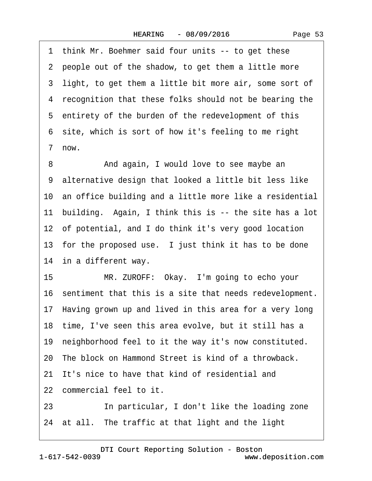<span id="page-52-0"></span>1 think Mr. Boehmer said four units -- to get these 2 people out of the shadow, to get them a little more 3 light, to get them a little bit more air, some sort of 4 recognition that these folks should not be bearing the 5 entirety of the burden of the redevelopment of this 6 site, which is sort of how it's feeling to me right ·7· now.

8 • **And again, I would love to see maybe an** ·9· alternative design that looked a little bit less like 10 an office building and a little more like a residential 11 building. Again, I think this is -- the site has a lot 12 of potential, and I do think it's very good location 13 for the proposed use. I just think it has to be done 14 in a different way.

15 MR. ZUROFF: Okay. I'm going to echo your 16· sentiment that this is a site that needs redevelopment. 17 Having grown up and lived in this area for a very long 18 time, I've seen this area evolve, but it still has a 19 neighborhood feel to it the way it's now constituted. 20 The block on Hammond Street is kind of a throwback.

21 It's nice to have that kind of residential and

22 commercial feel to it.

23 **In particular, I don't like the loading zone** 

24 at all. The traffic at that light and the light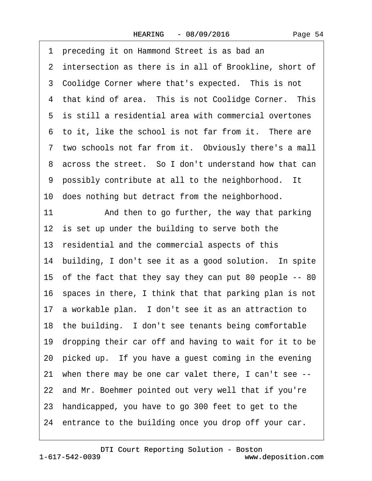<span id="page-53-0"></span>·1· preceding it on Hammond Street is as bad an 2 intersection as there is in all of Brookline, short of 3 Coolidge Corner where that's expected. This is not 4 that kind of area. This is not Coolidge Corner. This 5 is still a residential area with commercial overtones 6 to it, like the school is not far from it. There are 7 two schools not far from it. Obviously there's a mall 8 across the street. So I don't understand how that can 9 possibly contribute at all to the neighborhood. It 10 does nothing but detract from the neighborhood. 11 • And then to go further, the way that parking 12 is set up under the building to serve both the 13 residential and the commercial aspects of this 14 building, I don't see it as a good solution. In spite 15· of the fact that they say they can put 80 people -- 80 16 spaces in there, I think that that parking plan is not 17 a workable plan. I don't see it as an attraction to 18 the building. I don't see tenants being comfortable 19· dropping their car off and having to wait for it to be 20 picked up. If you have a guest coming in the evening 21· when there may be one car valet there, I can't see -- 22 and Mr. Boehmer pointed out very well that if you're 23· handicapped, you have to go 300 feet to get to the 24 entrance to the building once you drop off your car.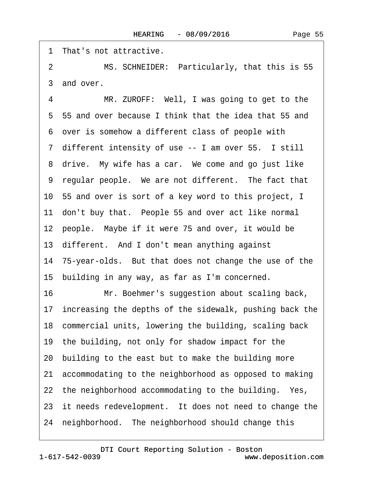<span id="page-54-0"></span>1 That's not attractive.

2 MS. SCHNEIDER: Particularly, that this is 55 3 and over.

4 MR. ZUROFF: Well, I was going to get to the ·5· 55 and over because I think that the idea that 55 and ·6· over is somehow a different class of people with 7 different intensity of use -- I am over 55. I still 8 drive. My wife has a car. We come and go just like 9 regular people. We are not different. The fact that 10· 55 and over is sort of a key word to this project, I 11 don't buy that. People 55 and over act like normal 12 people. Maybe if it were 75 and over, it would be 13 different. And I don't mean anything against 14· 75-year-olds.· But that does not change the use of the 15· building in any way, as far as I'm concerned. 16 Mr. Boehmer's suggestion about scaling back, 17 increasing the depths of the sidewalk, pushing back the 18· commercial units, lowering the building, scaling back 19 the building, not only for shadow impact for the 20· building to the east but to make the building more 21· accommodating to the neighborhood as opposed to making 22 the neighborhood accommodating to the building. Yes, 23 it needs redevelopment. It does not need to change the 24 neighborhood. The neighborhood should change this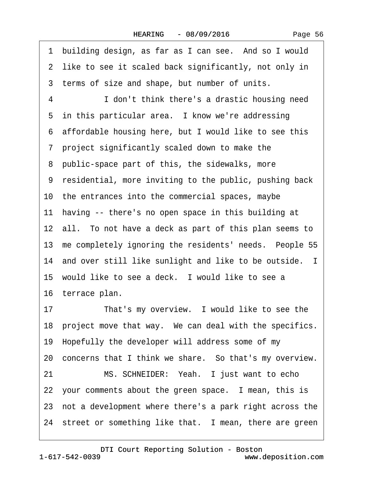<span id="page-55-0"></span>1 building design, as far as I can see. And so I would 2 like to see it scaled back significantly, not only in 3 terms of size and shape, but number of units. 4 **I** don't think there's a drastic housing need 5 in this particular area. I know we're addressing ·6· affordable housing here, but I would like to see this ·7· project significantly scaled down to make the 8 public-space part of this, the sidewalks, more ·9· residential, more inviting to the public, pushing back 10· the entrances into the commercial spaces, maybe 11 having -- there's no open space in this building at 12 all. To not have a deck as part of this plan seems to 13 me completely ignoring the residents' needs. People 55 14 and over still like sunlight and like to be outside. I 15 would like to see a deck. I would like to see a 16 terrace plan. 17 That's my overview. I would like to see the 18 project move that way. We can deal with the specifics. 19· Hopefully the developer will address some of my 20 concerns that I think we share. So that's my overview. 21 MS. SCHNEIDER: Yeah. I just want to echo 22 your comments about the green space. I mean, this is 23· not a development where there's a park right across the 24 street or something like that. I mean, there are green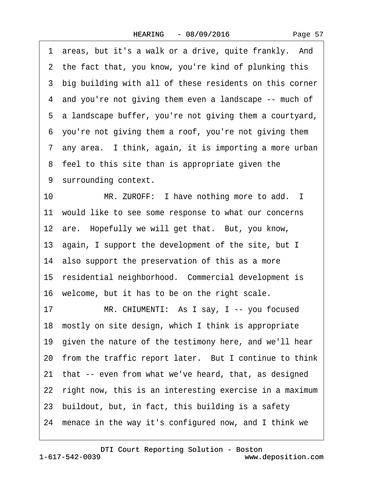|    | 1 areas, but it's a walk or a drive, quite frankly. And    |
|----|------------------------------------------------------------|
|    | 2 the fact that, you know, you're kind of plunking this    |
|    | 3 big building with all of these residents on this corner  |
|    | 4 and you're not giving them even a landscape -- much of   |
|    | 5 a landscape buffer, you're not giving them a courtyard,  |
|    | 6 you're not giving them a roof, you're not giving them    |
|    | 7 any area. I think, again, it is importing a more urban   |
|    | 8 feel to this site than is appropriate given the          |
|    | 9 surrounding context.                                     |
| 10 | MR. ZUROFF: I have nothing more to add. I                  |
|    | 11 would like to see some response to what our concerns    |
|    | 12 are. Hopefully we will get that. But, you know,         |
|    | 13 again, I support the development of the site, but I     |
|    | 14 also support the preservation of this as a more         |
|    | 15 residential neighborhood. Commercial development is     |
|    | 16 welcome, but it has to be on the right scale.           |
| 17 | MR. CHIUMENTI: As I say, I -- you focused                  |
|    | 18 mostly on site design, which I think is appropriate     |
|    | 19 given the nature of the testimony here, and we'll hear  |
|    | 20 from the traffic report later. But I continue to think  |
|    | 21 that -- even from what we've heard, that, as designed   |
|    | 22 right now, this is an interesting exercise in a maximum |
|    | 23 buildout, but, in fact, this building is a safety       |
|    | 24 menace in the way it's configured now, and I think we   |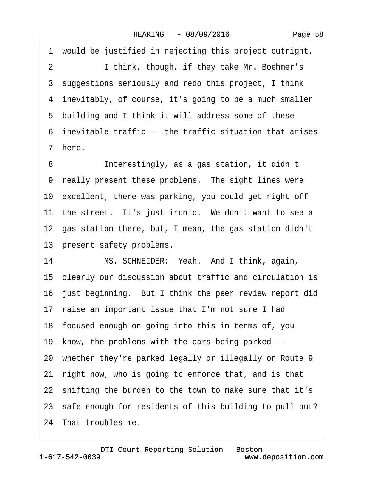1 would be justified in rejecting this project outright. 2 I think, though, if they take Mr. Boehmer's 3 suggestions seriously and redo this project, I think 4 inevitably, of course, it's going to be a much smaller 5 building and I think it will address some of these ·6· inevitable traffic -- the traffic situation that arises ·7· here.

8 **Interestingly, as a gas station, it didn't** 9 really present these problems. The sight lines were 10 excellent, there was parking, you could get right off 11 the street. It's just ironic. We don't want to see a 12· gas station there, but, I mean, the gas station didn't 13 present safety problems.

14 MS. SCHNEIDER: Yeah. And I think, again, 15 clearly our discussion about traffic and circulation is 16 just beginning. But I think the peer review report did 17 raise an important issue that I'm not sure I had 18· focused enough on going into this in terms of, you 19 know, the problems with the cars being parked --20 whether they're parked legally or illegally on Route 9 21 right now, who is going to enforce that, and is that 22· shifting the burden to the town to make sure that it's 23 safe enough for residents of this building to pull out? 24 That troubles me.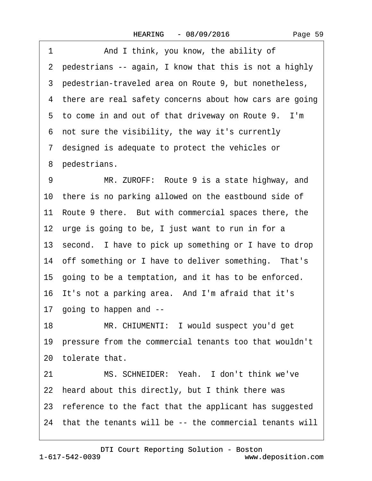| And I think, you know, the ability of<br>1                 |  |
|------------------------------------------------------------|--|
| 2 pedestrians -- again, I know that this is not a highly   |  |
| 3 pedestrian-traveled area on Route 9, but nonetheless,    |  |
| 4 there are real safety concerns about how cars are going  |  |
| 5 to come in and out of that driveway on Route 9. I'm      |  |
| 6 not sure the visibility, the way it's currently          |  |
| 7 designed is adequate to protect the vehicles or          |  |
| 8 pedestrians.                                             |  |
| MR. ZUROFF: Route 9 is a state highway, and<br>9           |  |
| 10 there is no parking allowed on the eastbound side of    |  |
| 11 Route 9 there. But with commercial spaces there, the    |  |
| 12 urge is going to be, I just want to run in for a        |  |
| 13 second. I have to pick up something or I have to drop   |  |
| 14 off something or I have to deliver something. That's    |  |
| 15 going to be a temptation, and it has to be enforced.    |  |
| 16 It's not a parking area. And I'm afraid that it's       |  |
| 17 going to happen and --                                  |  |
| 18<br>MR. CHIUMENTI: I would suspect you'd get             |  |
| 19 pressure from the commercial tenants too that wouldn't  |  |
| 20 tolerate that.                                          |  |
| MS. SCHNEIDER: Yeah. I don't think we've<br>21             |  |
| 22 heard about this directly, but I think there was        |  |
| 23 reference to the fact that the applicant has suggested  |  |
| 24 that the tenants will be -- the commercial tenants will |  |
|                                                            |  |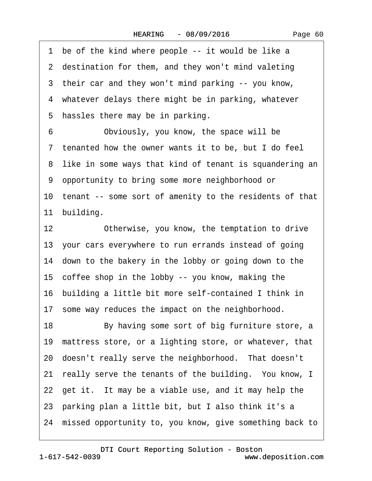1 be of the kind where people -- it would be like a 2 destination for them, and they won't mind valeting 3 their car and they won't mind parking -- you know, 4 whatever delays there might be in parking, whatever 5 hassles there may be in parking. 6 Obviously, you know, the space will be ·7· tenanted how the owner wants it to be, but I do feel 8 like in some ways that kind of tenant is squandering an ·9· opportunity to bring some more neighborhood or 10 tenant -- some sort of amenity to the residents of that 11 building. 12 Otherwise, you know, the temptation to drive 13· your cars everywhere to run errands instead of going 14 down to the bakery in the lobby or going down to the 15· coffee shop in the lobby -- you know, making the 16· building a little bit more self-contained I think in 17 some way reduces the impact on the neighborhood. 18 By having some sort of big furniture store, a 19 mattress store, or a lighting store, or whatever, that 20 doesn't really serve the neighborhood. That doesn't 21 really serve the tenants of the building. You know, I 22 get it. It may be a viable use, and it may help the 23· parking plan a little bit, but I also think it's a 24· missed opportunity to, you know, give something back to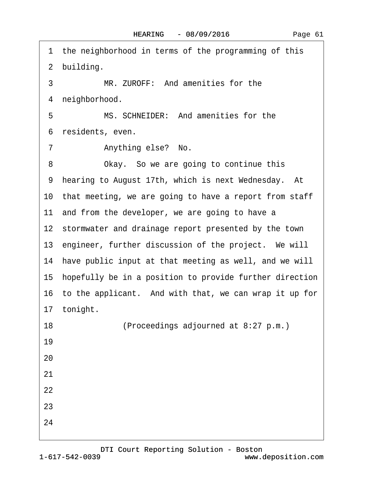1 the neighborhood in terms of the programming of this 2 building. 3 MR. ZUROFF: And amenities for the 4 neighborhood. 5 MS. SCHNEIDER: And amenities for the 6 residents, even. 7 Anything else? No. 8 Okay. So we are going to continue this 9 hearing to August 17th, which is next Wednesday. At 10 that meeting, we are going to have a report from staff 11 and from the developer, we are going to have a 12 stormwater and drainage report presented by the town 13 engineer, further discussion of the project. We will 14 have public input at that meeting as well, and we will 15 hopefully be in a position to provide further direction 16 to the applicant. And with that, we can wrap it up for 17 tonight. 18 (Proceedings adjourned at 8:27 p.m.) 19 20 21 22 23 24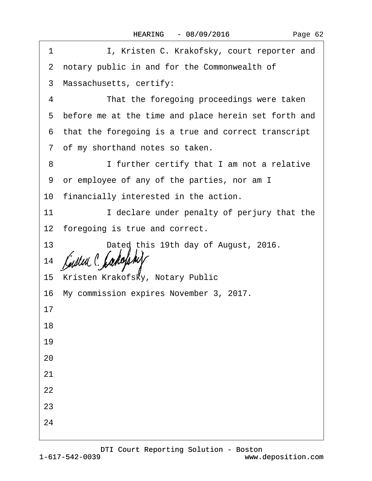| 1  | I, Kristen C. Krakofsky, court reporter and            |
|----|--------------------------------------------------------|
|    | 2 notary public in and for the Commonwealth of         |
|    | 3 Massachusetts, certify:                              |
| 4  | That the foregoing proceedings were taken              |
|    | 5 before me at the time and place herein set forth and |
|    | 6 that the foregoing is a true and correct transcript  |
|    | 7 of my shorthand notes so taken.                      |
| 8  | I further certify that I am not a relative             |
|    | 9 or employee of any of the parties, nor am I          |
|    | 10 financially interested in the action.               |
| 11 | I declare under penalty of perjury that the            |
|    | 12 foregoing is true and correct.                      |
| 13 | Dated this 19th day of August, 2016.                   |
| 14 |                                                        |
|    | 15 Kristen Krakofsky, Notary Public                    |
|    | 16 My commission expires November 3, 2017.             |
| 17 |                                                        |
| 18 |                                                        |
| 19 |                                                        |
| 20 |                                                        |
| 21 |                                                        |
| 22 |                                                        |
| 23 |                                                        |
| 24 |                                                        |
|    |                                                        |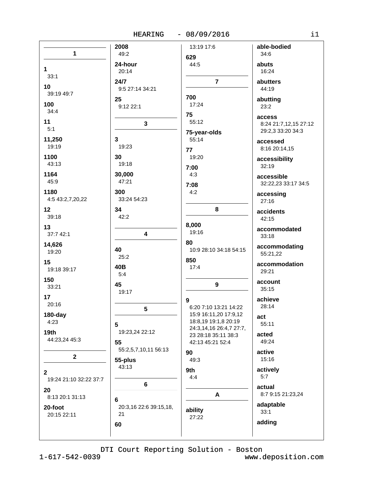# HEARING - 08/09/2016

| n e s | ۰, |
|-------|----|
|       |    |
|       |    |

|                        | 2008                   | 13:19 17:6              | able-bodied           |
|------------------------|------------------------|-------------------------|-----------------------|
|                        |                        |                         |                       |
| $\mathbf{1}$           | 49:2                   |                         | 34:6                  |
|                        |                        | 629                     |                       |
|                        | 24-hour                | 44:5                    | abuts                 |
| $\mathbf 1$            |                        |                         |                       |
|                        | 20:14                  |                         | 16:24                 |
| 33:1                   |                        |                         |                       |
|                        | 24/7                   | $\overline{7}$          | abutters              |
| 10                     |                        |                         |                       |
|                        | 9:5 27:14 34:21        |                         | 44:19                 |
| 39:19 49:7             |                        |                         |                       |
|                        | 25                     | 700                     | abutting              |
| 100                    |                        | 17:24                   |                       |
|                        | 9:12 22:1              |                         | 23:2                  |
| 34:4                   |                        |                         |                       |
|                        |                        | 75                      | access                |
| 11                     |                        | 55:12                   |                       |
|                        | 3                      |                         | 8:24 21:7,12,15 27:12 |
| 5:1                    |                        |                         | 29:2,3 33:20 34:3     |
|                        |                        | 75-year-olds            |                       |
| 11,250                 | 3                      | 55:14                   |                       |
|                        |                        |                         | accessed              |
| 19:19                  | 19:23                  |                         | 8:16 20:14,15         |
|                        |                        | 77                      |                       |
| 1100                   | 30                     | 19:20                   |                       |
|                        |                        |                         | accessibility         |
| 43:13                  | 19:18                  |                         | 32:19                 |
|                        |                        | 7:00                    |                       |
| 1164                   | 30,000                 | 4:3                     |                       |
|                        |                        |                         | accessible            |
| 45:9                   | 47:21                  |                         |                       |
|                        |                        | 7:08                    | 32:22,23 33:17 34:5   |
| 1180                   | 300                    | 4:2                     |                       |
|                        |                        |                         | accessing             |
| 4:5 43:2,7,20,22       | 33:24 54:23            |                         | 27:16                 |
|                        |                        |                         |                       |
| 12                     | 34                     | 8                       |                       |
|                        |                        |                         | accidents             |
| 39:18                  | 42:2                   |                         |                       |
|                        |                        |                         | 42:15                 |
| 13                     |                        | 8,000                   |                       |
|                        |                        |                         | accommodated          |
| 37:7 42:1              | 4                      | 19:16                   |                       |
|                        |                        |                         | 33:18                 |
|                        |                        | 80                      |                       |
| 14,626                 |                        |                         | accommodating         |
| 19:20                  | 40                     | 10:9 28:10 34:18 54:15  |                       |
|                        | 25:2                   |                         | 55:21,22              |
|                        |                        | 850                     |                       |
| 15                     |                        |                         | accommodation         |
| 19:18 39:17            | 40B                    | 17:4                    |                       |
|                        | 5:4                    |                         | 29:21                 |
|                        |                        |                         |                       |
| 150                    |                        |                         | account               |
| 33:21                  | 45                     | 9                       |                       |
|                        | 19:17                  |                         | 35:15                 |
|                        |                        |                         |                       |
| 17                     |                        | 9                       | achieve               |
| 20:16                  |                        |                         |                       |
|                        | 5                      | 6:20 7:10 13:21 14:22   | 28:14                 |
|                        |                        |                         |                       |
| $180$ -day             |                        | 15:9 16:11,20 17:9,12   | act                   |
| 4:23                   |                        | 18:8,19 19:1,8 20:19    |                       |
|                        | 5                      |                         | 55:11                 |
|                        |                        | 24:3,14,16 26:4,7 27:7, |                       |
| 19 <sub>th</sub>       | 19:23,24 22:12         | 23 28:18 35:11 38:3     | acted                 |
| 44:23,24 45:3          |                        |                         |                       |
|                        | 55                     | 42:13 45:21 52:4        | 49:24                 |
|                        |                        |                         |                       |
|                        | 55:2,5,7,10,11 56:13   | 90                      | active                |
| $\mathbf 2$            |                        |                         |                       |
|                        | 55-plus                | 49:3                    | 15:16                 |
|                        | 43:13                  |                         |                       |
|                        |                        | 9th                     | actively              |
| $\mathbf{2}$           |                        |                         |                       |
| 19:24 21:10 32:22 37:7 |                        | 4:4                     | 5:7                   |
|                        |                        |                         |                       |
|                        | $\bf 6$                |                         | actual                |
| 20                     |                        |                         |                       |
| 8:13 20:1 31:13        |                        | A                       | 8:7 9:15 21:23,24     |
|                        | 6                      |                         |                       |
|                        |                        |                         | adaptable             |
| 20-foot                | 20:3,16 22:6 39:15,18, |                         |                       |
| 20:15 22:11            | 21                     | ability                 | 33:1                  |
|                        |                        | 27:22                   |                       |
|                        |                        |                         | adding                |
|                        | 60                     |                         |                       |
|                        |                        |                         |                       |
|                        |                        |                         |                       |
|                        |                        |                         |                       |

DTI Court Reporting Solution - Boston

 $1 - 617 - 542 - 0039$ 

www.deposition.com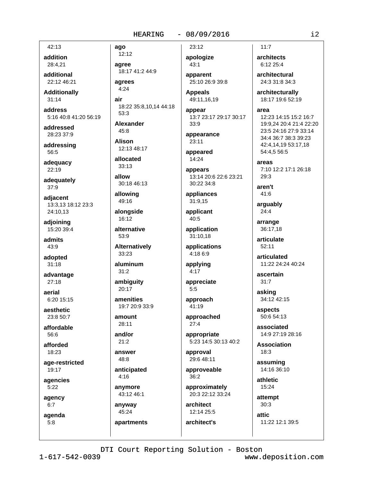#### $-08/09/2016$ **HEARING**

42:13

addition 28:4,21

additional 22:12 46:21

**Additionally**  $31:14$ 

address 5:16 40:8 41:20 56:19

addressed 28:23 37:9

addressing 56:5

adequacy 22:19

adequately 37:9

adjacent 13:3.13 18:12 23:3 24:10.13

adjoining 15:20 39:4

admits 43:9

adopted  $31:18$ 

advantage  $27:18$ 

aerial 6:20 15:15

aesthetic  $23.850.7$ 

affordable 56:6

afforded 18:23

age-restricted  $19:17$ 

agencies  $5:22$ 

agency

 $6:7$ 

agenda  $5:8$ 

ago 12:12 agree 18:17 41:2 44:9 agrees  $4:24$ air 18:22 35:8,10,14 44:18  $53:3$ **Alexander**  $45.8$ **Alison** 12:13 48:17 allocated  $33:13$ allow 30:18 46:13 allowing 49:16 alongside 16:12 alternative  $53:9$ **Alternatively** 33:23 aluminum  $31:2$ ambiquity  $20:17$ amenities 19:7 20:9 33:9 amount 28:11 and/or  $21:2$ answer 48:8 anticipated  $4:16$ anymore 43:12 46:1

anyway 45:24

apartments

apologize  $43:1$ 

23:12

apparent 25:10 26:9 39:8

**Appeals** 49:11,16,19

appear 13:7 23:17 29:17 30:17 33:9

appearance  $23:11$ 

appeared 14:24

appears 13:14 20:6 22:6 23:21 30:22 34:8

appliances 31:9,15

applicant 40:5

application 31:10.18

applications 4:18 6:9

applying  $4:17$ 

appreciate  $5:5$ 

approach 41:19

approached  $27:4$ 

appropriate 5:23 14:5 30:13 40:2

approval 29:6 48:11

approveable  $36:2$ 

approximately 20:3 22:12 33:24

architect 12:14 25:5

architect's

architects 6:12 25:4 architectural 24:3 31:8 34:3 architecturally

18:17 19:6 52:19

area

 $11:7$ 

12:23 14:15 15:2 16:7 19:9,24 20:4 21:4 22:20 23:5 24:16 27:9 33:14 34:4 36:7 38:3 39:23 42:4.14.19 53:17.18 54:4,5 56:5

areas 7:10 12:2 17:1 26:18  $29:3$ 

aren't 41:6

arguably  $24:4$ 

arrange 36:17,18

articulate 52:11

articulated 11:22 24:24 40:24

ascertain  $31:7$ 

asking 34:12 42:15

aspects 50:6 54:13

associated 14:9 27:19 28:16

**Association**  $18:3$ 

assuming  $14.16.36.10$ 

athletic  $15:24$ 

attempt  $30:3$ 

attic 11:22 12:1 39:5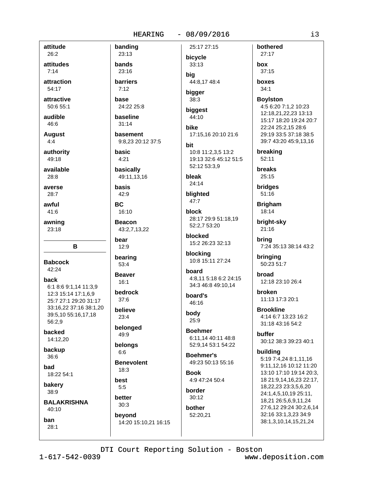# $-08/09/2016$ 25:17 27:15

attitude

26:2 attitudes

 $7:14$ 

attraction

54:17

attractive  $50:655:1$ 

audible 46:6

**August** 

 $4:4$ authority

49:18

available  $28:8$ 

averse  $28:7$ 

awful  $41:6$ 

awning 23:18

B

**Babcock** 42:24

back

6:1 8:6 9:1,14 11:3,9 12:3 15:14 17:1.6.9 25:7 27:1 29:20 31:17 33:16,22 37:16 38:1,20 39:5,10 55:16,17,18 56:2,9

backed 14:12,20

backup 36:6

bad 18:22 54:1

bakery 38:9

**BALAKRISHNA**  $40:10$ 

ban  $28:1$ 

23:13 bands 23:16

banding

**barriers**  $7:12$ 

base 24:22.25:8

baseline  $31:14$ 

basement 9:8.23 20:12 37:5

basic  $4:21$ 

basically

49:11,13,16 basis

42:9

**BC** 16:10

**Beacon** 43:2,7,13,22

bear  $12:9$ 

bearing 53:4

**Beaver** 

 $16:1$ bedrock

 $37:6$ believe

 $23:4$ belonged 49:9

belongs  $6:6$ 

**Benevolent**  $18:3$ 

best

 $5:5$ better

 $30:3$ bevond

14:20 15:10,21 16:15

bicycle 33:13 bia

44:8.17 48:4 bigger

 $38:3$ biggest

44:10

bike 17:15.16 20:10 21:6

bit 10:8 11:2,3,5 13:2 19:13 32:6 45:12 51:5 52:12 53:3,9

bleak  $24.14$ 

blighted  $47:7$ 

block 28:17 29:9 51:18,19 52:2,7 53:20

blocked 15:2 26:23 32:13

blocking 10:8 15:11 27:24

hoard 4:8.11 5:18 6:2 24:15 34:3 46:8 49:10.14

board's 46:16

body 25:9

**Boehmer** 6:11,14 40:11 48:8 52:9,14 53:1 54:22

**Boehmer's** 49:23 50:13 55:16

**Book** 4:9 47:24 50:4

border  $30:12$ 

**hother** 52:20,21 box  $37:15$ **hoxes**  $34:1$ **Boviston** 4:5 6:20 7:1,2 10:23 12:18,21,22,23 13:13 15:17 18:20 19:24 20:7 22:24 25:2.15 28:6 29:19 33:5 37:18 38:5

bothered

27:17

39:7 43:20 45:9,13,16

breaking  $52:11$ 

**breaks**  $25:15$ 

bridges  $51:16$ 

**Brigham** 18:14

bright-sky 21:16

> brina 7:24 35:13 38:14 43:2

bringing 50:23 51:7

broad 12:18 23:10 26:4

broken 11:13 17:3 20:1

**Brookline** 4:14 6:7 13:23 16:2 31:18 43:16 54:2

**buffer** 30:12 38:3 39:23 40:1

#### building

5:19 7:4.24 8:1.11.16 9:11.12.16 10:12 11:20 13:10 17:10 19:14 20:3, 18 21:9,14,16,23 22:17, 18,22,23 23:3,5,6,20 24:1,4,5,10,19 25:11, 18,21 26:5,6,9,11,24 27:6,12 29:24 30:2,6,14 32:16 33:1,3,23 34:9 38:1,3,10,14,15,21,24

www.deposition.com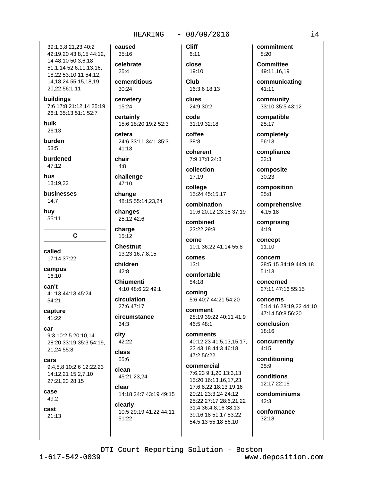#### $-08/09/2016$ **HEARING**

39:1.3.8.21.23 40:2 42:19,20 43:8,15 44:12, 14 48:10 50:3,6,18 51:1.14 52:6.11.13.16. 18,22 53:10,11 54:12, 14, 18, 24 55: 15, 18, 19, 20,22 56:1,11

buildings 7:6 17:8 21:12,14 25:19 26:1 35:13 51:1 52:7

bulk 26:13

burden 53:5

burdened  $47.12$ 

hus 13:19,22

businesses  $14:7$ 

buy 55:11

C.

called 17:14 37:22

campus 16:10

can't 41:13 44:13 45:24 54:21

capture 41:22

car 9:3 10:2.5 20:10.14 28:20 33:19 35:3 54:19, 21,24 55:8

cars 9:4,5,8 10:2,6 12:22,23 14:12,21 15:2,7,10 27:21,23 28:15

case 49:2

cast  $21:13$  caused 35:16 celebrate  $25:4$ cementitious 30:24 cemetery 15:24

certainly 15:6 18:20 19:2 52:3

cetera 24:6 33:11 34:1 35:3  $41:13$ 

chair  $4:8$ 

challenge

47:10

change 48:15 55:14,23,24

changes 25:12 42:6

charge  $15:12$ 

**Chestnut** 13:23 16:7,8,15

children  $42:8$ 

**Chiumenti** 4:10 48:6,22 49:1

circulation 27:6 47:17

circumstance  $34:3$ 

city 42:22

class  $55:6$ 

clean 45:21,23,24

clear 14:18 24:7 43:19 49:15

clearly 10:5 29:19 41:22 44:11 51:22

close 19:10 Club

**Cliff** 

 $6:11$ 

16:3,6 18:13

clues 24:9 30:2

code

31:19 32:18 coffee  $38:8$ 

coherent 7:9 17:8 24:3

collection  $17:19$ 

college 15:24 45:15,17

combination 10:6 20:12 23:18 37:19

combined 23:22 29:8

come 10:1 36:22 41:14 55:8

comes  $13:1$ 

comfortable  $54:18$ coming

5:6 40:7 44:21 54:20 comment 28:19 39:22 40:11 41:9

46:5 48:1 comments

40:12,23 41:5,13,15,17, 23 43:18 44:3 46:18 47:2 56:22

commercial 7:6,23 9:1,20 13:3,13 15:20 16:13,16,17,23 17:6,8,22 18:13 19:16 20:21 23:3,24 24:12 25:22 27:17 28:6,21,22 31:4 36:4,8,16 38:13 39:16,18 51:17 53:22 54:5,13 55:18 56:10

commitment  $8.20$ 

**Committee** 49:11.16.19

communicating 41:11

community 33:10 35:5 43:12

compatible 25:17

completely 56:13

compliance  $32:3$ 

composite  $30:23$ 

composition  $25:8$ 

comprehensive  $4:15.18$ 

comprising 4:19

concept  $11:10$ 

concern 28:5,15 34:19 44:9,18  $51:13$ 

concerned 27:11 47:16 55:15

concerns 5:14.16 28:19.22 44:10 47:14 50:8 56:20

conclusion 18:16

concurrently  $4:15$ 

conditioning  $359$ 

conditions 12:17 22:16

condominiums  $42:3$ 

conformance  $32:18$ 

## DTI Court Reporting Solution - Boston

www.deposition.com

 $14$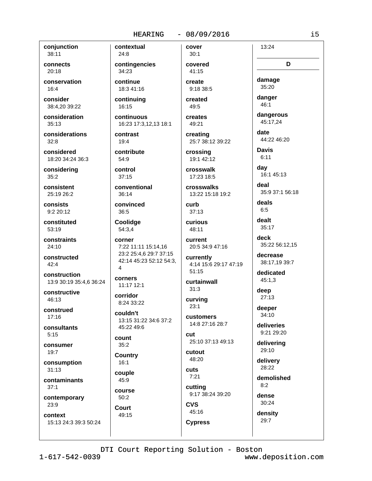#### $-08/09/2016$

cover

 $30:1$ 

covered

41:15

create

conjunction 38:11

connects  $20:18$ 

conservation  $16:4$ 

consider 38:4.20 39:22

consideration  $35:13$ 

considerations  $32:8$ 

considered 18:20 34:24 36:3

considering  $35:2$ 

consistent 25:19 26:2

consists  $9:220:12$ 

constituted 53:19

constraints  $24:10$ 

constructed  $42:4$ 

construction 13:9 30:19 35:4,6 36:24

constructive 46:13

construed  $17.16$ 

consultants  $5:15$ 

consumer

 $19:7$ 

consumption  $31:13$ 

contaminants

 $37:1$ 

contemporary 23:9

context

15:13 24:3 39:3 50:24

 $24.8$ contingencies 34:23

contextual

continue 18:3 41:16

continuing 16:15

continuous 16:23 17:3,12,13 18:1

contrast 19:4

contribute 54:9

control  $37:15$ 

conventional 36:14

convinced  $36:5$ 

Coolidge 54:3,4

corner 7:22 11:11 15:14,16 23:2 25:4,6 29:7 37:15 42:14 45:23 52:12 54:3, 4

corners 11:17 12:1

corridor 8:24 33:22

couldn't 13:15 31:22 34:6 37:2 45:22 49:6

count  $35:2$ 

**Country**  $16:1$ 

couple

45:9 course

 $50:2$ Court 49:15 created 49:5

creates

9:18 38:5

49:21 creating

25:7 38:12 39:22 crossing

19:1 42:12 crosswalk

17:23 18:5

crosswalks 13:22 15:18 19:2

curb  $37:13$ 

curious 48:11

**Current** 20:5 34:9 47:16

currently 4:14 15:6 29:17 47:19  $51:15$ 

curtainwall  $31:3$ 

curving  $23:1$ 

customers 14:8 27:16 28:7

cut 25:10 37:13 49:13

cutout 48:20

cuts  $7:21$ 

45:16

**Cypress** 

cutting 9:17 38:24 39:20 **CVS** 

damage 35:20

D

13:24

danger 46:1

dangerous 45:17.24

date 44:22 46:20

**Davis**  $6:11$ 

day 16:1 45:13

deal 35:9 37:1 56:18

deals  $6:5$ 

dealt  $35:17$ 

> deck 35:22 56:12,15

decrease 38:17,19 39:7

dedicated  $45:1,3$ 

deep  $27:13$ 

deeper  $34:10$ 

deliveries 9:21 29:20

delivering 29:10

delivery 28:22

demolished  $8:2$ 

dense

30:24 density  $29:7$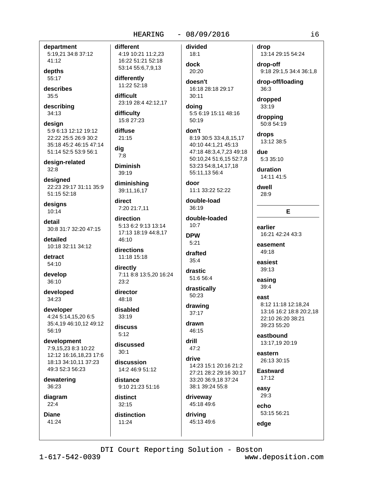### $-08/09/2016$

department 5:19,21 34:8 37:12 41:12

depths 55:17

describes  $35:5$ 

describing 34:13

design 5:9 6:13 12:12 19:12 22:22 25:5 26:9 30:2 35:18 45:2 46:15 47:14 51:14 52:5 53:9 56:1

design-related  $32:8$ 

designed 22:23 29:17 31:11 35:9 51:15 52:18

designs 10:14

detail 30:8 31:7 32:20 47:15

detailed 10:18 32:11 34:12

detract 54:10

develop 36:10

developed 34:23

developer 4:24 5:14,15,20 6:5 35:4,19 46:10,12 49:12 56:19

development 7:9,15,23 8:3 10:22 12:12 16:16.18.23 17:6 18:13 34:10.11 37:23 49:3 52:3 56:23

dewatering 36:23

diagram  $22:4$ 

**Diane** 41:24 different 4:19 10:21 11:2,23 16:22 51:21 52:18 53:14 55:6,7,9,13 differently

11:22 52:18 difficult 23:19 28:4 42:12.17

difficulty 15:8 27:23

diffuse  $21:15$ 

dia  $7:8$ 

**Diminish**  $39:19$ 

diminishing 39:11,16,17

direct 7:20 21:7,11

direction 5:13 6:2 9:13 13:14 17:13 18:19 44:8.17  $46:10$ 

directions 11:18 15:18

directly 7:11 8:8 13:5,20 16:24  $23:2$ 

director 48:18

disabled 33:19

discuss  $5:12$ 

discussed  $30.1$ 

discussion  $14.246.951.12$ 

distance 9:10 21:23 51:16

distinct  $32:15$ 

 $11:24$ 

distinction

divided  $18:1$ 

dock 20:20 doesn't

16:18 28:18 29:17  $30:11$ 

doing 5:5 6:19 15:11 48:16 50:19

don't 8:19 30:5 33:4.8.15.17 40:10 44:1.21 45:13 47:18 48:3,4,7,23 49:18 50:10.24 51:6.15 52:7.8 53:23 54:8,14,17,18 55:11,13 56:4

door 11:1 33:22 52:22

double-load 36:19

double-loaded  $10:7$ **DPW** 

 $5:21$ drafted

 $35:4$ 

drastic 51:6 56:4

drastically 50:23

drawing 37:17

drawn 46:15

drill  $47:2$ 

drive 14:23 15:1 20:16 21:2 27:21 28:2 29:16 30:17 33:20 36:9,18 37:24 38:1 39:24 55:8

driveway 45:18 49:6

driving 45:13 49:6 drop 13:14 29:15 54:24

drop-off 9:18 29:1,5 34:4 36:1,8

drop-off/loading 36:3

dropped 33:19

dropping 50:8 54:19

drops 13:12 38:5

due 5:3 35:10

duration 14:11 41:5

dwell 28:9

E

earlier 16:21 42:24 43:3

easement 49:18

easiest 39:13

easing  $39:4$ 

Aast

8:12 11:18 12:18,24 13:16 16:2 18:8 20:2,18 22:10 26:20 38:21 39:23 55:20

eastbound 13:17,19 20:19

eastern 26:13 30:15

**Eastward** 17:12

easy 29:3

edge

echo 53:15 56:21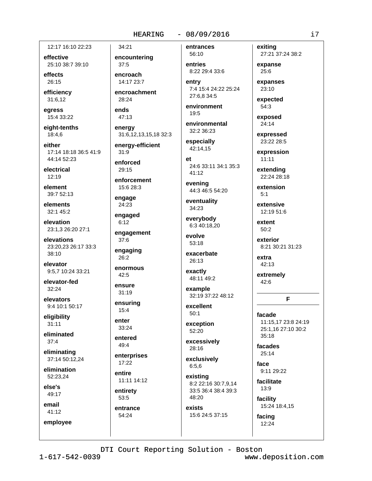#### $-08/09/2016$

12:17 16:10 22:23

effective 25:10 38:7 39:10

effects  $26:15$ 

efficiency 31:6,12

egress 15:4 33:22

eight-tenths 18:4.6

either 17:14 18:18 36:5 41:9 44:14 52:23

electrical  $12:19$ 

element 39:7 52:13

elements 32:1 45:2

elevation 23:1,3 26:20 27:1

elevations 23:20,23 26:17 33:3  $38:10$ 

elevator 9:5.7 10:24 33:21

elevator-fed  $32:24$ 

elevators 9:4 10:1 50:17

eligibility  $31:11$ 

eliminated  $37:4$ 

eliminating 37:14 50:12.24

elimination 52:23.24

else's 49:17

email

employee

41:12

encountering  $37:5$ encroach 14:17 23:7

encroachment 28:24

ends  $47:13$ 

34:21

energy 31:6,12,13,15,18 32:3

energy-efficient  $31:9$ 

enforced  $29.15$ 

enforcement 15:6 28:3

engage 24:23

engaged

 $6:12$ engagement

37:6 engaging

26:2

enormous  $42:5$ 

ensure  $31:19$ 

ensuring  $15:4$ 

enter 33:24

entered  $49:4$ 

enterprises  $17:22$ 

entire 11:11 14:12

entirety 53:5

entrance 54:24

entrances 56:10

```
entries
8:22 29:4 33:6
```
entry 7:4 15:4 24:22 25:24 27:6.8 34:5

environment 19:5

environmental 32:2 36:23

especially 42:14.15

 $e<sub>t</sub>$ 24:6 33:11 34:1 35:3  $41:12$ 

evening 44:3 46:5 54:20

eventuality 34:23

everybody 6:3 40:18,20

evolve  $53:18$ 

exacerbate 26:13

exactly 48:11 49:2

example 32:19 37:22 48:12

excellent  $50:1$ 

exception 52:20

excessively 28:16

exclusively  $6:5,6$ 

existing 8:2 22:16 30:7,9,14 33:5 36:4 38:4 39:3 48:20

exists 15:6 24:5 37:15 exitina 27:21 37:24 38:2

expanse  $25:6$ 

expanses 23:10

expected  $54:3$ 

exposed

24:14 expressed

23:22 28:5

expression  $11:11$ 

extending 22:24 28:18

> extension  $5:1$

extensive 12:19 51:6

extent 50:2

exterior 8:21 30:21 31:23

extra 42:13

extremely  $42:6$ 

### F

facade 11:15.17 23:8 24:19 25:1,16 27:10 30:2  $35:18$ 

facades  $25:14$ 

face 9:11 29:22

facilitate  $13:9$ 

facility 15:24 18:4,15

facing 12:24

 $1 - 617 - 542 - 0039$ 

www.deposition.com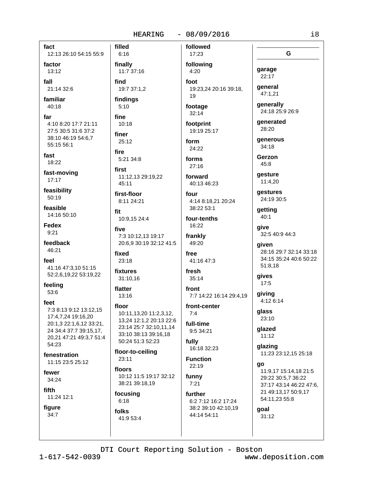#### $-08/09/2016$ **HEARING**

fact 12:13 26:10 54:15 55:9 factor  $13:12$ fall 21:14 32:6 familiar  $40:18$ far 4:10 8:20 17:7 21:11 27:5 30:5 31:6 37:2 38:10 46:19 54:6,7 55:15 56:1

fast 18:22

fast-moving  $17:17$ 

feasibility 50:19

feasible 14:16 50:10

**Fedex**  $9:21$ 

feedback 46:21

feel 41:16 47:3,10 51:15 52:2,6,19,22 53:19,22

feeling 53:6

feet 7:3 8:13 9:12 13:12.15 17:4,7,24 19:16,20 20:1,3 22:1,6,12 33:21, 24 34:4 37:7 39:15,17, 20,21 47:21 49:3,7 51:4 54:23

fenestration 11:15 23:5 25:12

fewer 34:24

fifth 11:24 12:1

figure  $34:7$ 

 $6:16$ finally 11:7 37:16

filled

find 19:7 37:1,2

findings  $5:10$ 

fine  $10:18$ 

finer 25:12

fire 5:21 34:8

first

11:12,13 29:19,22

first-floor 8:11 24:21

45:11

fit 10:9,15 24:4

five 7:3 10:12.13 19:17 20:6,9 30:19 32:12 41:5

fixed  $23:18$ 

fixtures 31:10.16

flatter 13:16

floor 10:11,13,20 11:2,3,12, 13,24 12:1,2 20:13 22:6 23:14 25:7 32:10,11,14 33:10 38:13 39:16,18 50:24 51:3 52:23

floor-to-ceiling 23:11

floors 10:12 11:5 19:17 32:12 38:21 39:18,19

focusing  $6:18$ 

folks 41:9 53:4

17:23 following

followed

 $4:20$ foot 19:23,24 20:16 39:18, 19

footage  $32:14$ 

footprint 19:19 25:17

form 24:22

forms  $27:16$ 

forward 40:13 46:23

four 4:14 8:18,21 20:24

38:22 53:1 four-tenths

16:22 frankly

free 41:16 47:3

49:20

fresh 35:14

front 7:7 14:22 16:14 29:4,19

front-center  $7.4$ 

full-time 9:5 34:21 fully

16:18 32:23 **Function** 

22:19 funny  $7:21$ 

further 6:2 7:12 16:2 17:24 38:2 39:10 42:10,19

44:14 54:11

qestures 24:19 30:5 getting  $40:1$ 

> qive 32:5 40:9 44:3

aiven 28:16 29:7 32:14 33:18 34:15 35:24 40:6 50:22 51:8,18

gives  $17:5$ 

qiving 4:12 6:14

glass 23:10

qlazed 11:12

glazing 11:23 23:12,15 25:18

go 11:9,17 15:14,18 21:5 29:22 30:5,7 36:22 37:17 43:14 46:22 47:6, 21 49:13,17 50:9,17 54:11,23 55:8

goal  $31:12$ 

DTI Court Reporting Solution - Boston

www.deposition.com

G

garage

22:17

general

47:1,21

generally

denerated

generous

 $28.20$ 

 $34:18$ 

Gerzon

aesture

11:4.20

45:8

24:18 25:9 26:9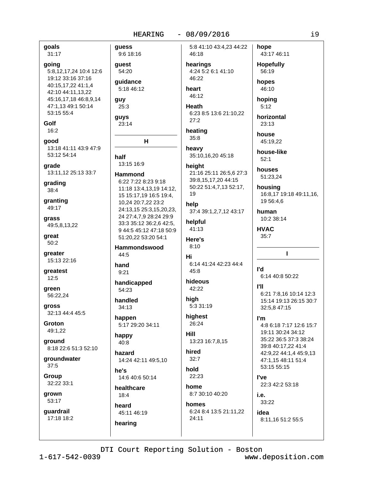### $-08/09/2016$

guess 5:8 41:10 43:4,23 44:22 hope 9:6 18:16 46:18 quest hearings 54:20 4:24 5:2 6:1 41:10 56:19 46:22 quidance hopes 5:18 46:12 heart 46:10 46:12 guy Heath 25:3  $5:12$ 6:23 8:5 13:6 21:10,22 **quys**  $27:2$  $23:13$ 23:14 heating house 35:8 н heavy 35:10,16,20 45:18 half  $52:1$ 13:15 16:9 height 21:16 25:11 26:5,6 27:3 **Hammond** 39:8,15,17,20 44:15 6:22 7:22 8:23 9:18 50:22 51:4,7,13 52:17, 11:18 13:4,13,19 14:12, 19 15 15:17,19 16:5 19:4, 10,24 20:7,22 23:2 help 24:13,15 25:3,15,20,23, 37:4 39:1,2,7,12 43:17 24 27:4,7,9 28:24 29:9 helpful 33:3 35:12 36:2,6 42:5, 9 44:5 45:12 47:18 50:9 41:13 **HVAC**  $35:7$ 51:20,22 53:20 54:1 Here's  $8:10$ Hammondswood 44:5 Hi 6:14 41:24 42:23 44:4 hand l'd  $45:8$  $9.21$ hideous handicapped **PII** 42:22 54:23 high handled 5:3 31:19 34:13 highest happen I'm 26:24 5:17 29:20 34:11 **Hill** happy 13:23 16:7,8,15  $40.8$ hired hazard  $32:7$ 14:24 42:11 49:5,10 hold he's 22:23 14:6 40:6 50:14 l've home healthcare 8:7 30:10 40:20  $18:4$ i e l 33:22 homes heard 6:24 8:4 13:5 21:11,22 45:11 46:19 idea  $24:11$ hearing

43:17 46:11 **Hopefully** hoping horizontal 45:19.22 house-like houses 51:23,24 housing 16:8,17 19:18 49:11,16, 19 56:4,6 human 10:2 38:14  $\mathbf{I}$ 6:14 40:8 50:22 6:21 7:8.16 10:14 12:3 15:14 19:13 26:15 30:7 32:5,8 47:15 4:8 6:18 7:17 12:6 15:7 19:11 30:24 34:12 35:22 36:5 37:3 38:24 39:8 40:17,22 41:4 42:9,22 44:1,4 45:9,13 47:1,15 48:11 51:4 53:15 55:15 22:3 42:2 53:18

8:11,16 51:2 55:5

31:17 going

5:8,12,17,24 10:4 12:6 19:12 33:16 37:16 40:15,17,22 41:1,4 42:10 44:11,13,22 45:16,17,18 46:8,9,14 47:1.13 49:1 50:14 53:15 55:4

Golf  $16:2$ 

goals

good 13:18 41:11 43:9 47:9 53:12 54:14

qrade 13:11,12 25:13 33:7

grading 38:4

granting 49:17

grass 49:5,8,13,22

qreat 50:2

greater 15:13 22:16

greatest  $12:5$ 

green 56:22.24

**gross** 32:13 44:4 45:5

Groton 49:1,22

8:18 22:6 51:3 52:10

 $37:5$ 

Group 32:22 33:1

grown 53:17

guardrail 17:18 18:2

ground groundwater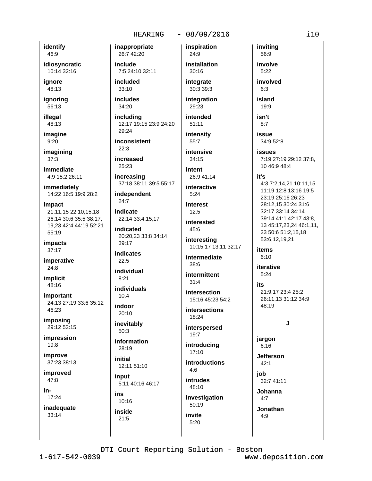#### $-08/09/2016$

inspiration

identify 46:9

idiosyncratic 10:14 32:16

ianore 48:13

ignoring 56:13

illegal 48:13

imagine  $9:20$ 

imagining  $37:3$ 

immediate 4:9 15:2 26:11

immediately 14:22 16:5 19:9 28:2

impact 21:11.15 22:10.15.18 26:14 30:6 35:5 38:17, 19,23 42:4 44:19 52:21 55:19

impacts  $37:17$ 

imperative  $24:8$ 

implicit 48:16

important 24:13 27:19 33:6 35:12 46:23

imposing 29:12 52:15

impression  $19:8$ 

improve 37:23 38:13

improved 47:8

in-

 $17:24$ 

inadequate 33:14

inappropriate 26:7 42:20 include

7:5 24:10 32:11

included 33:10

**includes**  $34:20$ 

including 12:17 19:15 23:9 24:20 29:24

inconsistent  $22:3$ 

increased 25:23

increasing 37:18 38:11 39:5 55:17

independent  $24:7$ 

indicate 22:14 33:4,15,17

indicated 20:20.23 33:8 34:14 39:17

**indicates**  $22:5$ 

individual  $8.21$ 

individuals  $10:4$ 

indoor  $20:10$ 

inevitably  $50:3$ 

information 28:19

initial 12:11 51:10

input 5:11 40:16 46:17

ins 10:16 inside

 $21:5$ 

24:9 installation  $30:16$ 

integrate 30:3 39:3

integration 29:23

intended  $51:11$ intensity

55:7 intensive

 $34:15$ intent

26:9 41:14 interactive

 $5:24$ 

**interest**  $12:5$ 

interested 45:6

interesting 10:15,17 13:11 32:17

intermediate  $38:6$ 

intermittent  $31:4$ 

intersection 15:16 45:23 54:2

**intersections** 

interspersed 19:7

18:24

introducina  $17:10$ 

**introductions**  $4:6$ 

**intrudes** 48:10 investigation

50:19 invite

 $5:20$ 

56:9 involve  $5:22$ involved  $6:3$ 

inviting

island  $19:9$ 

 $8:7$ 

isn't

issue 34:9 52:8

**issues** 7:19 27:19 29:12 37:8, 10 46:9 48:4

#### it's

4:3 7:2,14,21 10:11,15 11:19 12:8 13:16 19:5 23:19 25:16 26:23 28:12,15 30:24 31:6 32:17 33:14 34:14 39:14 41:1 42:17 43:8, 13 45:17,23,24 46:1,11, 23 50:6 51:2,15,18 53:6,12,19,21

items  $6:10$ 

iterative  $5:24$ 

its. 21:9.17 23:4 25:2 26:11.13 31:12 34:9 48:19

### J

jargon  $6:16$ 

**Jefferson**  $42:1$ 

iob

32:7 41:11

**Johanna** 

 $4:7$ Jonathan

 $4:9$ 

DTI Court Reporting Solution - Boston

 $1 - 617 - 542 - 0039$ 

www.deposition.com

 $i10$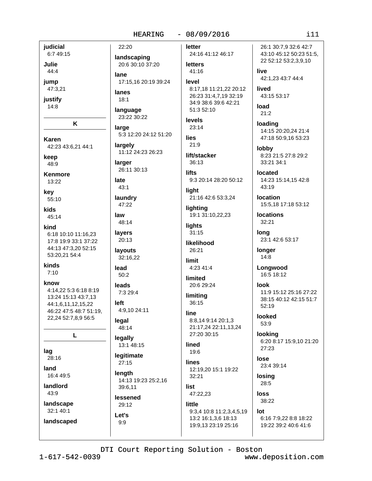**iudicial** 6:7 49:15

Julie  $44:4$ 

jump

47:3,21

justify  $14:8$ 

K

**Karen** 42:23 43:6,21 44:1

keep 48:9

**Kenmore** 13:22

key

55:10 kids

45:14 kind 6:18 10:10 11:16,23

17:8 19:9 33:1 37:22 44:13 47:3.20 52:15 53:20.21 54:4

kinds  $7:10$ 

know

4:14.22 5:3 6:18 8:19 13:24 15:13 43:7.13 44:1,6,11,12,15,22 46:22 47:5 48:7 51:19, 22,24 52:7,8,9 56:5

L

lag

28:16 land

16:4 49:5

landlord

43:9

landscape 32:1 40:1

landscaped

landscaping 20:6 30:10 37:20

lane 17:15.16 20:19 39:24

lanes  $18:1$ 

22:20

language 23:22 30:22

large 5:3 12:20 24:12 51:20

largely 11:12 24:23 26:23

larger 26:11 30:13

late  $43:1$ 

laundry

47:22 law

48:14 layers

20:13 lavouts 32:16,22

lead  $50:2$ 

leads 7:3 29:4

left 4:9,10 24:11

legal 48:14

legally

13:1 48:15 legitimate

 $27:15$ length 14:13 19:23 25:2,16

39:6,11 lessened

29:12

Let's

 $9:9$ 

letter

24:16 41:12 46:17 **letters** 

41:16 level

8:17,18 11:21,22 20:12 26:23 31:4,7,19 32:19 34:9 38:6 39:6 42:21 51:3 52:10

levels 23:14

lies  $21:9$ 

lift/stacker  $36:13$ 

**lifts** 9:3 20:14 28:20 50:12

liaht 21:16 42:6 53:3,24

lighting 19:1 31:10,22,23

**lights**  $31:15$ 

likelihood 26:21

limit 4:23 41:4

limited 20:6 29:24

limiting 36:15

line 8:8,14 9:14 20:1,3

21:17,24 22:11,13,24 27:20 30:15

lined 19:6

lines 12:19.20 15:1 19:22 32:21

19:9,13 23:19 25:16

list 47:22,23

little 9:3,4 10:8 11:2,3,4,5,19 13:2 16:1,3,6 18:13

lose 23:4 39:14

28:5

38:22

lot 6:16 7:9,22 8:8 18:22 19:22 39:2 40:6 41:6

DTI Court Reporting Solution - Boston

www.deposition.com

 $111$ 

43:10 45:12 50:23 51:5, 22 52:12 53:2,3,9,10 live

26:1 30:7.9 32:6 42:7

42:1.23 43:7 44:4

lived 43:15 53:17

load  $21:2$ 

loading 14:15 20:20,24 21:4 47:18 50:9,16 53:23

lobby 8:23 21:5 27:8 29:2  $33:21.34:1$ 

located 14:23 15:14,15 42:8 43:19

**location** 15:5,18 17:18 53:12

**locations** 32:21

lona 23:1 42:6 53:17

longer  $14:8$ 

Longwood 16:5 18:12

**look** 11:9 15:12 25:16 27:22 38:15 40:12 42:15 51:7  $52:19$ 

looked 53:9

looking 6:20 8:17 15:9,10 21:20 27:23

losing

loss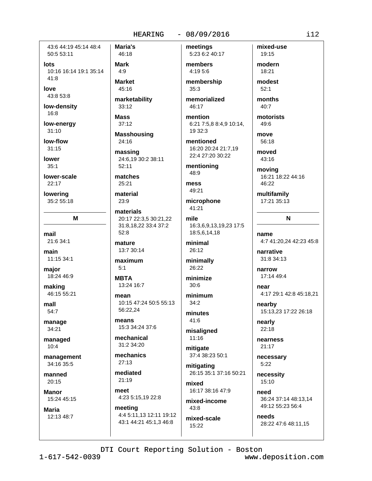43:6 44:19 45:14 48:4 50:5 53:11

lots 10:16 16:14 19:1 35:14  $41:8$ 

love 43:8 53:8

low-density

16:8

low-energy  $31:10$ 

low-flow  $31:15$ 

lower  $35:1$ 

lower-scale  $22.17$ 

lowering 35:2 55:18

M

mail 21:6 34:1

main

11:15 34:1 major

18:24 46:9

making 46:15 55:21

mall 54:7

manage 34:21

managed  $10:4$ 

management 34:16 35:5

manned 20:15

**Manor** 15:24 45:15

**Maria** 12:13 48:7 Maria's 46:18 **Mark** 

 $4:9$ **Market** 

45:16

marketability 33:12

**Mass**  $37:12$ 

**Masshousing** 24:16

massing 24:6,19 30:2 38:11  $52:11$ 

matches  $25.21$ 

material 23:9

materials 20:17 22:3,5 30:21,22 31:8,18,22 33:4 37:2  $52:8$ 

mature 13:7 30:14

maximum  $5:1$ 

**MBTA** 13:24 16:7

mean 10:15 47:24 50:5 55:13 56:22.24

means 15:3 34:24 37:6

mechanical 31:2 34:20

mechanics  $27:13$ 

mediated 21:19

meet 4:23 5:15,19 22:8

meeting 4:4 5:11,13 12:11 19:12 43:1 44:21 45:1,3 46:8

meetings 5:23 6:2 40:17

members 4:19 5:6

membership  $35:3$ 

memorialized 46:17

mention 6:21 7:5,8 8:4,9 10:14, 19 32:3

mentioned 16:20 20:24 21:7,19 22:4 27:20 30:22

mentioning 48:9

mess 49:21

microphone 41:21

mile 16:3,6,9,13,19,23 17:5 18:5,6,14,18

minimal 26:12

minimally 26:22

minimize  $30:6$ 

minimum  $34:2$ 

minutes 41:6

misaligned  $11:16$ 

mitigate 37:4 38:23 50:1

mitigating 26:15 35:1 37:16 50:21

mixed 16:17 38:16 47:9

mixed-income  $43.8$ 

mixed-scale  $15:22$ 

mixed-use 19:15

modern 18:21 modest

> $52:1$ months

 $40:7$ 

motorists 49:6

move 56:18

moved  $43:16$ 

moving

16:21 18:22 44:16  $46.22$ 

multifamily 17:21 35:13

 $\mathbf N$ 

name 4:7 41:20,24 42:23 45:8

narrative 31:8 34:13

narrow 17:14 49:4

near 4:17 29:1 42:8 45:18,21

nearby 15:13,23 17:22 26:18

nearly  $22:18$ 

nearness  $21:17$ 

necessary  $5:22$ 

necessity 15:10

heed 36:24 37:14 48:13,14 49:12 55:23 56:4

needs 28:22 47:6 48:11,15

DTI Court Reporting Solution - Boston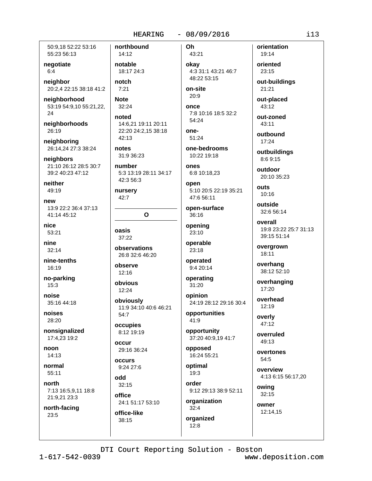50:9.18 52:22 53:16 55:23 56:13

negotiate  $6:4$ 

neighbor 20:2,4 22:15 38:18 41:2

neighborhood 53:19 54:9,10 55:21,22,  $24$ 

neighborhoods 26:19

neighboring 26:14,24 27:3 38:24

neighbors 21:10 26:12 28:5 30:7 39:2 40:23 47:12

neither 49:19

new 13:9 22:2 36:4 37:13 41:14 45:12

nice 53:21

nine  $32:14$ 

nine-tenths 16:19

no-parking 15:3

noise 35:16 44:18

noises 28:20

nonsignalized 17:4,23 19:2

noon  $14:13$ 

normal  $55:11$ 

north 7:13 16:5,9,11 18:8 21:9,21 23:3

north-facing 23:5

14:12 notable 18:17 24:3 notch

northbound

 $7:21$ **Note** 

 $32:24$ noted

14:6,21 19:11 20:11 22:20 24:2,15 38:18 42:13

notes 31:9 36:23

number 5:3 13:19 28:11 34:17 42:3 56:3

nursery 42:7

# $\mathbf O$

oasis 37:22

observations 26:8 32:6 46:20

observe  $12:16$ 

obvious  $12:24$ 

obviously 11:9 34:10 40:6 46:21 54:7

occupies 8:12 19:19

occur 29:16 36:24

occurs 9:24 27:6

odd  $32:15$ 

office 24:1 51:17 53:10

office-like 38:15

Oh 43:21

okay 4:3 31:1 43:21 46:7 48:22 53:15

on-site  $20:9$ 

once 7:8 10:16 18:5 32:2 54:24

one-51:24

one-bedrooms 10:22 19:18

ones 6:8 10:18,23

open 5:10 20:5 22:19 35:21 47:6 56:11

open-surface  $36:16$ 

opening 23:10

operable 23:18

operated 9:4 20:14

operating 31:20

opinion 24:19 28:12 29:16 30:4

opportunities 41:9

opportunity 37:20 40:9,19 41:7

opposed 16:24 55:21

optimal  $19:3$ 

order 9:12 29:13 38:9 52:11

organization  $32:4$ organized

 $12:8$ 

orientation 19:14

oriented 23:15

out-buildings 21:21

out-placed 43:12

out-zoned  $43:11$ 

outbound  $17:24$ 

outbuildings 8:6 9:15

outdoor 20:10 35:23

**Ollis** 10:16

outside 32:6 56:14

overall 19:8 23:22 25:7 31:13 39:15 51:14

overgrown 18:11

overhang 38:12 52:10

overhanging  $17:20$ 

overhead 12:19

overly 47:12

overruled 49:13

overtones 54:5

> overview 4:13 6:15 56:17,20

owing  $32:15$ 

owner 12:14,15

DTI Court Reporting Solution - Boston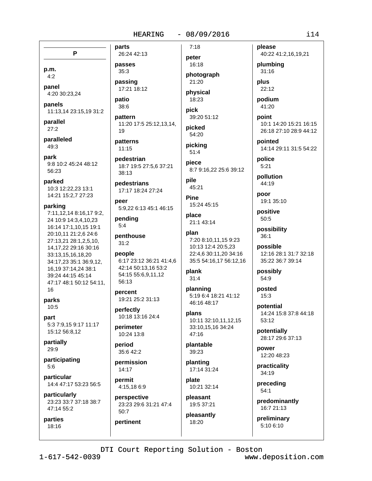P p.m.

 $4:2$ panel

4:20 30:23,24 panels

11:13,14 23:15,19 31:2

parallel  $27.2$ 

paralleled 49:3

park 9:8 10:2 45:24 48:12  $56:23$ 

parked 10:3 12:22,23 13:1 14:21 15:2,7 27:23

## parking

7:11,12,14 8:16,17 9:2, 24 10:9 14:3.4.10.23 16:14 17:1,10,15 19:1 20:10,11 21:2,6 24:6 27:13,21 28:1,2,5,10, 14, 17, 22 29: 16 30: 16 33:13,15,16,18,20 34:17.23 35:1 36:9.12. 16,19 37:14,24 38:1 39:24 44:15 45:14 47:17 48:1 50:12 54:11. 16

## parks 10:5

part 5:3 7:9,15 9:17 11:17 15:12 56:8,12

partially 29:9

participating  $5:6$ 

particular 14:4 47:17 53:23 56:5

particularly 23:23 33:7 37:18 38:7 47:14 55:2

parties 18:16

parts 26:24 42:13 passes

 $35:3$ passing

17:21 18:12

patio 38:6

pattern 11:20 17:5 25:12,13,14, 19

patterns  $11.15$ 

pedestrian 18:7 19:5 27:5,6 37:21 38:13

pedestrians 17:17 18:24 27:24

neer 5:9,22 6:13 45:1 46:15

pending  $5:4$ 

penthouse  $31:2$ 

people 6:17 23:12 36:21 41:4,6 42:14 50:13,16 53:2 54:15 55:6,9,11,12 56:13

percent 19:21 25:2 31:13

perfectly 10:18 13:16 24:4

perimeter 10:24 13:8

period 35:6 42:2

permission  $14.17$ 

pertinent

permit 4:15,18 6:9

perspective 23:23 29:6 31:21 47:4 50:7

16:18 photograph 21:20

 $7:18$ 

peter

physical 18:23

pick 39:20 51:12

picked 54:20

picking  $51:4$ 

piece 8:7 9:16,22 25:6 39:12 pile

45:21 **Pine** 

15:24 45:15 place

21:1 43:14 plan 7:20 8:10,11,15 9:23 10:13 12:4 20:5,23

22:4,6 30:11,20 34:16

35:5 54:16,17 56:12,16 plank  $31:4$ 

planning 5:19 6:4 18:21 41:12 46:16 48:17

plans 10:11 32:10,11,12,15 33:10,15,16 34:24 47:16

plantable 39:23

planting  $17.14.31.24$ 

plate 10:21 32:14

pleasant 19:5 37:21

pleasantly 18:20

please 40:22 41:2,16,19,21

plumbing  $31:16$ 

plus 22:12

podium 41:20

point 10:1 14:20 15:21 16:15 26:18 27:10 28:9 44:12

pointed 14:14 29:11 31:5 54:22

police  $5:21$ 

pollution 44:19

poor 19:1 35:10

positive 50:5

possibility  $36:1$ 

possible 12:16 28:1 31:7 32:18 35:22 36:7 39:14

possibly 54:9

posted  $15:3$ 

potential 14:24 15:8 37:8 44:18 53:12

potentially 28:17 29:6 37:13

power 12:20 48:23

practicality 34:19

preceding  $54:1$ 

predominantly 16:7 21:13

preliminary 5:10 6:10

DTI Court Reporting Solution - Boston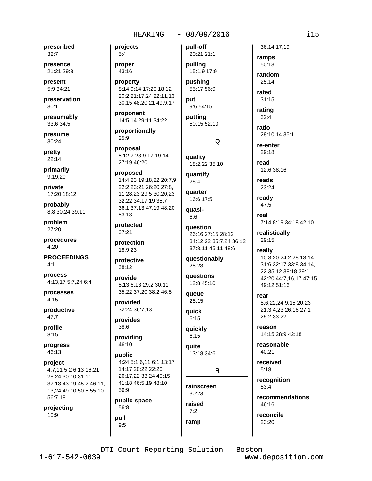prescribed  $32:7$ 

presence 21:21 29:8

present 5:9 34:21

preservation  $30:1$ 

presumably 33:6 34:5

presume 30:24

pretty 22:14

primarily 9:19.20

private 17:20 18:12

probably 8:8 30:24 39:11

problem 27:20

procedures  $4:20$ 

**PROCEEDINGS**  $4:1$ 

process 4:13,17 5:7,24 6:4

processes  $4:15$ 

productive  $47:7$ 

profile  $8:15$ 

progress 46:13

project 4:7,11 5:2 6:13 16:21 28:24 30:10 31:11 37:13 43:19 45:2 46:11, 13,24 49:10 50:5 55:10 56:7,18

projecting 10:9

projects  $5:4$ proper 43:16 property 8:14 9:14 17:20 18:12 20:2 21:17,24 22:11,13 30:15 48:20,21 49:9,17 proponent 14:5,14 29:11 34:22 proportionally 25:9 proposal 5:12 7:23 9:17 19:14 27:19 46:20 proposed 14:4,23 19:18,22 20:7,9 22:2 23:21 26:20 27:8,

11 28:23 29:5 30:20,23 32:22 34:17,19 35:7 36:1 37:13 47:19 48:20 53:13

protected  $37:21$ 

protection 18:9.23

protective 38:12

provide 5:13 6:13 29:2 30:11 35:22 37:20 38:2 46:5

provided 32:24 36:7,13

provides 38:6

providing 46:10

public 4:24 5:1.6.11 6:1 13:17 14:17 20:22 22:20 26:17,22 33:24 40:15 41:18 46:5,19 48:10 56:9

public-space 56:8

pull  $9:5$  pull-off 20:21 21:1 pulling 15:1,9 17:9 pushing 55:17 56:9 put

 $9:654:15$ putting 50:15 52:10

Q quality

18:2,22 35:10 quantify

 $28:4$ quarter

16:6 17:5

quasi- $6:6$ 

question 26:16 27:15 28:12 34:12,22 35:7,24 36:12 37:8,11 45:11 48:6

questionably 28:23

**auestions** 12:8 45:10

queue 28:15

quick  $6:15$ 

quickly  $6:15$ 

quite 13:18 34:6

 $\mathsf{R}$ 

rainscreen  $30.23$ raised

 $7:2$ ramp

50:13 random  $25.14$ rated

ramps

36:14,17,19

 $31:15$ rating

 $32:4$ ratio

28:10.14 35:1

re-enter  $29:18$ 

read 12:6 38:16

reads 23:24

ready 47:5

> real 7:14 8:19 34:18 42:10

realistically 29:15

really 10:3,20 24:2 28:13,14 31:6 32:17 33:8 34:14, 22 35:12 38:18 39:1 42:20 44:7,16,17 47:15 49:12 51:16

rear 8:6.22.24 9:15 20:23 21:3.4.23 26:16 27:1 29:2 33:22

reason 14:15 28:9 42:18

reasonable 40:21

received  $5:18$ 

recognition  $53:4$ 

recommendations 46:16

reconcile 23:20

DTI Court Reporting Solution - Boston

 $1 - 617 - 542 - 0039$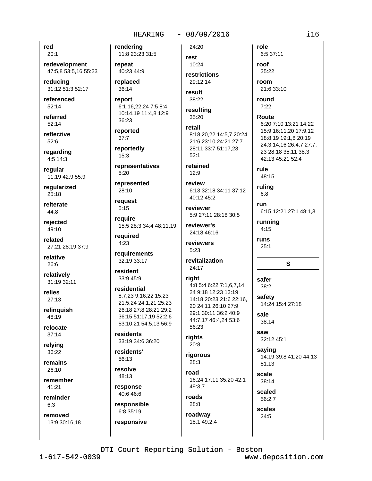## **HEARING**

## $-08/09/2016$

red  $20:1$ 

redevelopment 47:5,8 53:5,16 55:23

reducina 31:12 51:3 52:17

referenced  $52:14$ 

referred  $52:14$ 

reflective 52:6

regarding 4:5 14:3

regular 11:19 42:9 55:9

reqularized  $25:18$ 

reiterate  $44:8$ 

rejected 49:10

related 27:21 28:19 37:9

relative 26:6

relatively 31:19 32:11

relies  $27:13$ 

relinguish  $48.19$ 

relocate  $37:14$ 

relying  $36:22$ 

remains  $26:10$ 

remember 41:21

reminder

 $6:3$ 

removed 13:9 30:16,18 rendering 11:8 23:23 31:5 repeat 40:23 44:9 replaced 36:14 report 6:1,16,22,24 7:5 8:4 10:14,19 11:4,8 12:9 36:23 reported  $37:7$ reportedly  $15:3$ representatives  $5:20$ represented 28:10 request  $5:15$ require 15:5 28:3 34:4 48:11,19 required  $4:23$ 

requirements 32:19 33:17

resident 33:9 45:9

## residential 8:7,23 9:16,22 15:23 21:5,24 24:1,21 25:23 26:18 27:8 28:21 29:2 36:15 51:17,19 52:2,6 53:10,21 54:5,13 56:9

residents 33:19 34:6 36:20

residents' 56:13

resolve 48:13

response 40:6 46:6

responsible 6:8 35:19 responsive

rest 10:24 restrictions 29:12.14

24:20

result 38:22

resulting 35:20

retail 8:18.20.22 14:5.7 20:24 21:6 23:10 24:21 27:7 28:11 33:7 51:17,23  $52:1$ 

retained  $12:9$ 

review 6:13 32:18 34:11 37:12 40:12 45:2

reviewer 5:9 27:11 28:18 30:5

reviewer's 24:18 46:16

reviewers  $5:23$ 

revitalization 24:17

# right

4:8 5:4 6:22 7:1,6,7,14, 24 9:18 12:23 13:19 14:18 20:23 21:6 22:16, 20 24:11 26:10 27:9 29:1 30:11 36:2 40:9 44:7,17 46:4,24 53:6 56:23

rights 20:8

28:8

roadway

18:1 49:2,4

riaorous  $28:3$ road

16:24 17:11 35:20 42:1 49:3.7 roads

6:5 37:11 roof 35:22 room

role

21:6 33:10

round  $7:22$ 

Route

6:20 7:10 13:21 14:22 15:9 16:11,20 17:9,12 18:8,19 19:1,8 20:19 24:3,14,16 26:4,7 27:7, 23 28:18 35:11 38:3 42:13 45:21 52:4

rule 48:15

ruling  $6:8$ 

run 6:15 12:21 27:1 48:1,3

running  $4:15$ 

runs  $25:1$ 

 $\mathbf{s}$ 

safer  $38:2$ safety 14:24 15:4 27:18 sale 38:14 saw 32:12 45:1

saying 14:19 39:8 41:20 44:13  $51:13$ 

scale 38:14 scaled

56:2.7 scales 24:5

DTI Court Reporting Solution - Boston

 $1 - 617 - 542 - 0039$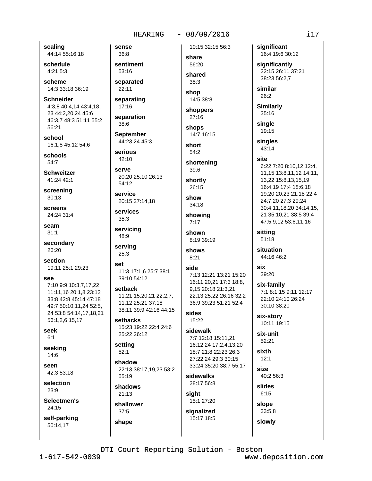## **HEARING**

## $-08/09/2016$

scaling 44:14 55:16,18

schedule 4:21 5:3

scheme 14:3 33:18 36:19

**Schneider** 4:3,8 40:4,14 43:4,18, 23 44:2,20,24 45:6 46:3,7 48:3 51:11 55:2 56:21

school 16:1.8 45:12 54:6

schools  $54:7$ 

**Schweitzer** 41:24 42:1

screening  $30:13$ 

screens 24:24 31:4

seam  $31:1$ 

secondary 26:20

section 19:11 25:1 29:23

## 988

7:10 9:9 10:3,7,17,22 11:11.16 20:1.8 23:12 33:8 42:8 45:14 47:18 49:7 50:10,11,24 52:5, 24 53:8 54:14,17,18,21 56:1,2,6,15,17

seek  $6:1$ 

seeking  $14:6$ 

seen 42:3 53:18

selection 23:9

Selectmen's 24:15

self-parking 50:14.17

36:8 sentiment 53:16 separated

sense

22:11

separating 17:16

separation 38:6

**September** 44:23.24 45:3

serious  $42:10$ 

serve

20:20 25:10 26:13  $54:12$ 

service 20:15 27:14,18

services  $35:3$ 

servicing 48:9

serving 25:3

set 11:3 17:1.6 25:7 38:1 39:10 54:12

setback 11:21 15:20,21 22:2,7, 11,12 25:21 37:18 38:11 39:9 42:16 44:15

setbacks 15:23 19:22 22:4 24:6 25:22 26:12

setting  $52:1$ 

shadow 22:13 38:17,19,23 53:2 55:19

shadows  $21:13$ 

shallower  $37:5$ 

shape

10:15 32:15 56:3 share

# 56:20 shared

 $35:3$ shop

14:5 38:8 shoppers

 $27:16$ 

shops 14:7 16:15

short  $54:2$ 

shortening 39:6

shortly 26:15

show  $34:18$ 

showing  $7:17$ 

shown 8:19 39:19

shows  $8:21$ 

## side

7:13 12:21 13:21 15:20 16:11,20,21 17:3 18:8, 9,15 20:18 21:3,21 22:13 25:22 26:16 32:2 36:9 39:23 51:21 52:4

# sides 15:22

sidewalk 7:7 12:18 15:11,21 16:12,24 17:2,4,13,20 18:7 21:8 22:23 26:3 27:22.24 29:3 30:15 33:24 35:20 38:7 55:17

sidewalks 28:17 56:8

siaht 15:1 27:20

signalized 15:17 18:5 significant

16:4 19:6 30:12

significantly 22:15 26:11 37:21 38:23 56:2.7

similar  $26:2$ 

**Similarly** 35:16

single 19:15

singles  $43:14$ 

## site

6:22 7:20 8:10,12 12:4, 11,15 13:8,11,12 14:11, 13,22 15:8,13,15,19 16:4,19 17:4 18:6,18 19:20 20:23 21:18 22:4 24:7,20 27:3 29:24 30:4,11,18,20 34:14,15, 21 35:10,21 38:5 39:4 47:5,9,12 53:6,11,16

sitting  $51:18$ 

situation 44:16 46:2

six 39:20

six-family 7:1 8:1.15 9:11 12:17 22:10 24:10 26:24 30:10 38:20

six-story 10:11 19:15

six-unit 52:21

 $12:1$ size

sixth

40:2 56:3

slides  $6:15$ 

slope  $33:5,8$ 

slowly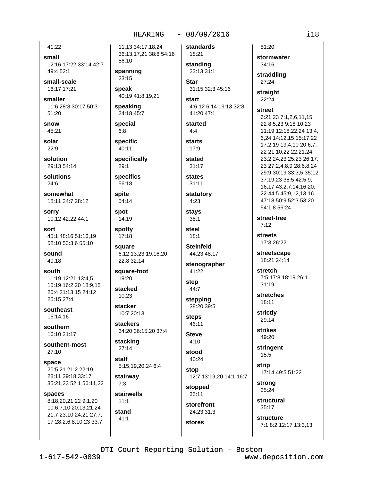$6:8$ 

 $29:1$ 

spite

spot

staff

 $7:3$ 

 $11:1$ 

 $41:1$ 

41:22

small 12:16 17:22 33:14 42:7 49:4 52:1

small-scale 16:17 17:21

smaller 11:6 28:8 30:17 50:3 51:20

snow 45:21

solar  $22:9$ 

solution 29:13 54:14

solutions  $24.6$ 

somewhat 18:11 24:7 28:12

**SOFFV** 10:12 42:22 44:1

sort 45:1 48:16 51:16,19 52:10 53:3,6 55:10

sound 40:18

south 11:19 12:21 13:4,5 15:19 16:2,20 18:9,15 20:4 21:13.15 24:12 25:15 27:4

southeast 15:14,16

southern 16:10 21:17

southern-most  $27:10$ 

space 20:5.21 21:2 22:19 28:11 29:18 33:17 35:21,23 52:1 56:11,22

spaces

8:18,20,21,22 9:1,20 10:6,7,10 20:13,21,24 21:7 23:10 24:21 27:7, 17 28:2,6,8,10,23 33:7,

 $-08/09/2016$ **HEARING** 11.13 34:17.18.24 standards 36:13,17,21 38:8 54:16 18:21 56:10 standing 23:13 31:1 spanning  $23:15$ **Star** speak 40:19 41:8,19,21 start speaking 24:18 45:7 41:20 47:1 started special  $4.4$ specific **starts**  $40:11$  $17:9$ specifically stated  $31:17$ specifics **states** 56:18  $31:11$ statutory 54:14  $4:23$ **stavs** 14:19 38:1 spotty steel  $17:18$  $18:1$ **Steinfeld** square 44:23 48:17 6:12 13:23 19:16,20 22:8 32:14 square-foot 41:22  $19.20$ step stacked 44:7 10:23 stepping stacker 38:20 39:5 10:7 20:13 **steps stackers** 46:11 34:20 36:15,20 37:4 **Steve** stacking  $4:10$  $27:14$ stood 40:24 5:15,19,20,24 6:4 stop stairway stopped stairwells  $35:11$ storefront stand 24:23 31:3 stores

51:20 34:16  $27:24$ 31:15 32:3 45:16 straight 22:24 4:6.12 6:14 19:13 32:8 **street**  $7:12$ streets stenographer stretch  $31:19$ 18:11 strictly 29:14 **strikes** 49:20 stringent  $15:5$ strip 12:7 13:19,20 14:1 16:7 strong structural structure

stormwater straddling 6:21,23 7:1,2,6,11,15, 22 8:5,23 9:18 10:23 11:19 12:18,22,24 13:4. 6,24 14:12,15 15:17,22 17:2.19 19:4.10 20:6.7. 22 21:10,22 22:21,24 23:2 24:23 25:23 26:17. 23 27:2,4,8,9 28:6,8,24 29:9 30:19 33:3,5 35:12 37:19,23 38:5 42:5,9, 16,17 43:2,7,14,16,20, 22 44:5 45:9,12,13,16 47:18 50:9 52:3 53:20 54:1,8 56:24 street-tree 17:3 26:22 streetscape 18:21 24:14 7:5 17:8 18:19 26:1 stretches

17:14 49:5 51:22

35:24

 $35:17$ 

7:1 8:2 12:17 13:3,13

DTI Court Reporting Solution - Boston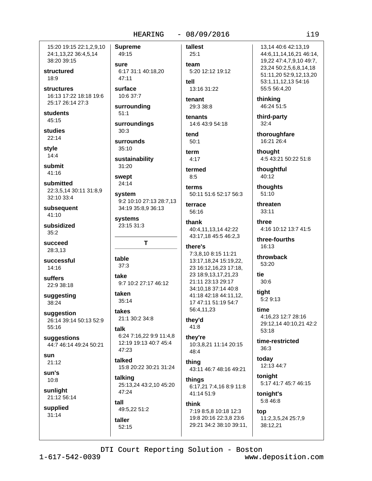## **HEARING**

15:20 19:15 22:1,2,9,10 24:1,13,22 36:4,5,14 38:20 39:15

structured  $18:9$ 

**structures** 16:13 17:22 18:18 19:6 25:17 26:14 27:3

students 45:15

studies

 $22:14$ stvle

 $14:4$ 

submit  $41:16$ 

submitted 22:3,5,14 30:11 31:8,9 32:10 33:4

subsequent  $41:10$ 

subsidized  $35:2$ 

succeed 28:3,13

successful 14:16

suffers 22:9 38:18

suggesting 38:24

suggestion 26:14 39:14 50:13 52:9 55:16

suggestions 44:7 46:14 49:24 50:21

sun  $21:12$ 

 $sin's$  $10:8$ 

sunlight 21:12 56:14

supplied  $31:14$ 

**Supreme** 49:15 sure 6:17 31:1 40:18.20  $47:11$ surface 10:6 37:7 surrounding  $51:1$ surroundings  $30:3$ surrounds  $35:10$ sustainability 31:20

swept  $24:14$ 

system 9:2 10:10 27:13 28:7,13 34:19 35:8,9 36:13

systems 23:15 31:3

table  $37:3$ 

take 9:7 10:2 27:17 46:12

T

taken 35:14

takes 21:1 30:2 34:8

## talk 6:24 7:16,22 9:9 11:4,8 12:19 19:13 40:7 45:4 47:23

talked 15:8 20:22 30:21 31:24

talking 25:13,24 43:2,10 45:20 47:24

tall 49:5,22 51:2 taller

 $52:15$ 

tallest  $25:1$ 

 $-08/09/2016$ 

team 5:20 12:12 19:12 tell 13:16 31:22

tenant

29:3.38:8

tenants 14:6 43:9 54:18

tend  $50:1$ 

term  $4:17$ 

termed  $8:5$ 

terms 50:11 51:6 52:17 56:3

terrace 56:16

thank 40:4,11,13,14 42:22 43:17,18 45:5 46:2,3

## there's

7:3,8,10 8:15 11:21 13:17,18,24 15:19,22, 23 16:12,16,23 17:18, 23 18:9,13,17,21,23 21:11 23:13 29:17 34:10.18 37:14 40:8 41:18 42:18 44:11.12. 17 47:11 51:19 54:7 56:4,11,23

# they'd

41:8

they're 10:3,8,21 11:14 20:15 48:4

thing 43:11 46:7 48:16 49:21

things 6:17,21 7:4,16 8:9 11:8  $41.1451.9$ 

think 7:19 8:5,8 10:18 12:3 19:8 20:16 22:3,8 23:6 29:21 34:2 38:10 39:11,

13.14 40:6 42:13.19 44:6,11,14,16,21 46:14, 19,22 47:4,7,9,10 49:7, 23,24 50:2,5,6,8,14,18 51:11,20 52:9,12,13,20 53:1,11,12,13 54:16 55:5 56:4,20 thinking

46:24 51:5

third-party  $32:4$ 

thoroughfare 16:21 26:4

thought 4:5 43:21 50:22 51:8

thoughtful 40:12

thoughts  $51:10$ 

threaten 33:11

three 4:16 10:12 13:7 41:5

three-fourths 16:13

throwback 53:20

tie  $30:6$ tight

5:2 9:13

time 4:16,23 12:7 28:16 29:12,14 40:10,21 42:2 53:18

time-restricted  $36:3$ 

today 12:13 44:7

tonight 5:17 41:7 45:7 46:15

tonight's 5:8 46:8

top 11:2,3,5,24 25:7,9 38:12.21

DTI Court Reporting Solution - Boston

 $1 - 617 - 542 - 0039$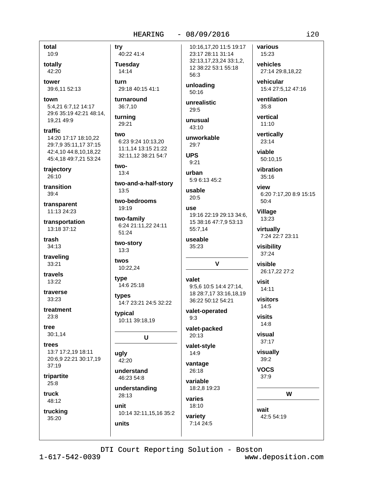total  $10:9$ 

totally 42:20

tower 39:6,11 52:13

town 5:4.21 6:7.12 14:17 29:6 35:19 42:21 48:14, 19,21 49:9

traffic 14:20 17:17 18:10.22 29:7.9 35:11.17 37:15 42:4,10 44:8,10,18,22 45:4,18 49:7,21 53:24

trajectory  $26:10$ 

transition  $39:4$ 

transparent 11:13 24:23

transportation 13:18 37:12

trash 34:13

traveling 33:21

travels 13:22

traverse  $33:23$ 

treatment  $23:8$ 

tree  $30:1,14$ 

trees 13:7 17:2,19 18:11 20:6,9 22:21 30:17,19  $37:19$ 

tripartite  $25:8$ 

truck 48:12

trucking 35:20

40:22 41:4 **Tuesday**  $14:14$ turn 29:18 40:15 41:1

turnaround 36:7,10

try

turning 29:21

two 6:23 9:24 10:13.20 11:1.14 13:15 21:22 32:11,12 38:21 54:7

two- $13:4$ 

two-and-a-half-story  $13:5$ 

two-bedrooms  $10.10$ 

two-family 6:24 21:11,22 24:11 51:24

two-story  $13:3$ 

twos 10:22,24

type 14:6 25:18

types 14:7 23:21 24:5 32:22

typical 10:11 39:18,19

 $\mathbf U$ 

ugly 42:20

understand 46:23 54:8

understanding 28:13 unit

10:14 32:11,15,16 35:2 units

10:16.17.20 11:5 19:17 23:17 28:11 31:14 32:13,17,23,24 33:1,2, 12 38:22 53:1 55:18 56:3

unloading  $50:16$ 

unrealistic  $29.5$ 

unusual 43:10

unworkable  $29:7$ 

**UPS**  $9:21$ 

urban 5:9 6:13 45:2

usable  $20:5$ 

## **USA** 19:16 22:19 29:13 34:6.

15 38:16 47:7,9 53:13 55:7,14

useable 35:23

valet 9:5.6 10:5 14:4 27:14. 18 28:7.17 33:16.18.19 36:22 50:12 54:21

 $\mathbf{V}$ 

valet-operated  $9:3$ 

valet-packed  $20:13$ 

valet-style 14:9 vantage

26:18 variable

18:2,8 19:23 varies

18:10

7:14 24:5

variety

## wait 42:5 54:19

W

DTI Court Reporting Solution - Boston

 $i20$ 

various

15:23

vehicles

vehicular

ventilation

 $35:8$ 

vertical

 $11:10$ 

 $23:14$ 

viable

vertically

50:10.15

vibration

6:20 7:17,20 8:9 15:15

 $35:16$ 

view

 $50:4$ 

Village

13:23

virtually

visibility

37:24

visible

 $14:11$ 

visitors

 $14:5$ 

visits

 $14:8$ 

visual

 $37:17$ 

visually

 $39:2$ 

**VOCS** 

 $37:9$ 

visit

7:24 22:7 23:11

26:17,22 27:2

27:14 29:8.18.22

15:4 27:5,12 47:16